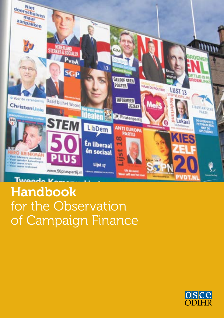

# Handbook for the Observation of Campaign Finance

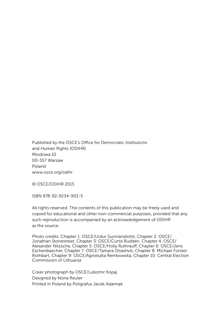Published by the OSCE's Office for Democratic Institutions and Human Rights (ODIHR) Miodowa 10 00-557 Warsaw Poland <www.osce.org/odihr>

© OSCE/ODIHR 2015

ISBN 978-92-9234-903-5

All rights reserved. The contents of this publication may be freely used and copied for educational and other non-commercial purposes, provided that any such reproduction is accompanied by an acknowledgement of ODIHR as the source.

Photo credits: Chapter 1: OSCE/Urdur Gunnarsdottir, Chapter 2: OSCE/ Jonathan Stonestreet, Chapter 3: OSCE/Curtis Budden, Chapter 4: OSCE/ Alexander Nitzsche, Chapter 5: OSCE/Holly Ruthrauff, Chapter 6: OSCE/Jens Eschenbaecher, Chapter 7: OSCE/Tamara Otiashvili, Chapter 8: Michael Forster Rothbart, Chapter 9: OSCE/Agnieszka Rembowska, Chapter 10: Central Election Commission of Lithuania

Cover photograph by OSCE/Lubomir Kopaj Designed by Nona Reuter Printed in Poland by Poligrafus Jacek Adamiak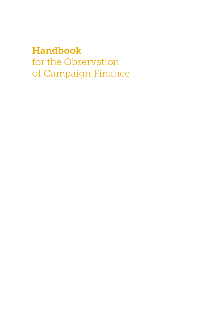# Handbook

for the Observation of Campaign Finance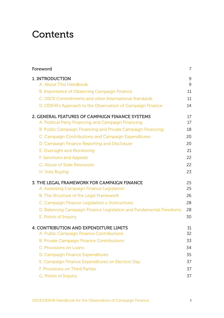# **Contents**

| Foreword                                                           | 7  |
|--------------------------------------------------------------------|----|
| 1. INTRODUCTION                                                    | 9  |
| A. About This Handbook                                             | 9  |
| B. Importance of Observing Campaign Finance                        | 11 |
| C. OSCE Commitments and other International Standards              | 11 |
| D. ODIHR's Approach to the Observation of Campaign Finance         | 14 |
| 2. GENERAL FEATURES OF CAMPAIGN FINANCE SYSTEMS                    | 17 |
| A. Political Party Financing and Campaign Financing                | 17 |
| B. Public Campaign Financing and Private Campaign Financing        | 18 |
| C. Campaign Contributions and Campaign Expenditures                | 20 |
| D. Campaign Finance Reporting and Disclosure                       | 20 |
| E. Oversight and Monitoring                                        | 21 |
| F. Sanctions and Appeals                                           | 22 |
| G. Abuse of State Resources                                        | 22 |
| H. Vote Buying                                                     | 23 |
| 3. THE LEGAL FRAMEWORK FOR CAMPAIGN FINANCE                        | 25 |
| A. Assessing Campaign Finance Legislation                          | 25 |
| B. The Structure of the Legal Framework                            | 26 |
| C. Campaign Finance Legislation v. Instructions                    | 28 |
| D. Balancing Campaign Finance Legislation and Fundamental Freedoms | 28 |
| E. Points of Inquiry                                               | 30 |
| 4. CONTRIBUTION AND EXPENDITURE LIMITS                             | 31 |
| A. Public Campaign Finance Contributions                           | 32 |
| <b>B. Private Campaign Finance Contributions</b>                   | 33 |
| C. Provisions on Loans                                             | 34 |
| D. Campaign Finance Expenditures                                   | 35 |
| E. Campaign Finance Expenditures on Election Day                   | 37 |
| <b>F. Provisions on Third Parties</b>                              | 37 |
| G. Points of Inquiry                                               | 37 |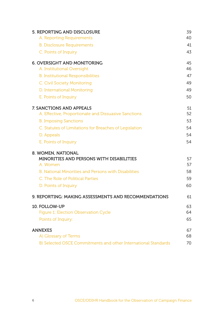| 5. REPORTING AND DISCLOSURE                                    | 39       |
|----------------------------------------------------------------|----------|
| A. Reporting Requirements                                      | 40       |
| <b>B. Disclosure Requirements</b>                              | 41       |
| C. Points of Inquiry                                           | 43       |
| <b>6. OVERSIGHT AND MONITORING</b>                             | 45       |
| A. Institutional Oversight                                     | 46       |
| <b>B.</b> Institutional Responsibilities                       | 47       |
| C. Civil Society Monitoring                                    | 49       |
| D. International Monitoring                                    | 49       |
| E. Points of Inquiry                                           | 50       |
| 7. SANCTIONS AND APPEALS                                       | 51       |
| A. Effective, Proportionate and Dissuasive Sanctions           | 52       |
| <b>B. Imposing Sanctions</b>                                   | 53       |
| C. Statutes of Limitations for Breaches of Legislation         | 54       |
| D. Appeals                                                     | 54       |
| E. Points of Inquiry                                           | 54       |
| 8. WOMEN, NATIONAL                                             |          |
| MINORITIES AND PERSONS WITH DISABILITIES<br>A. Women           | 57<br>57 |
| <b>B. National Minorities and Persons with Disabilities</b>    | 58       |
| C. The Role of Political Parties                               | 59       |
|                                                                | 60       |
| D. Points of Inquiry                                           |          |
| 9. REPORTING: MAKING ASSESSMENTS AND RECOMMENDATIONS           | 61       |
| 10. FOLLOW-UP                                                  | 63       |
| Figure 1: Election Observation Cycle                           | 64       |
| Points of Inquiry:                                             | 65       |
| <b>ANNEXES</b>                                                 | 67       |
| A) Glossary of Terms                                           | 68       |
| B) Selected OSCE Commitments and other International Standards | 70       |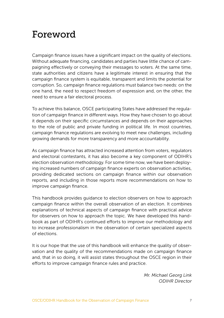# <span id="page-6-0"></span>Foreword

Campaign finance issues have a significant impact on the quality of elections. Without adequate financing, candidates and parties have little chance of campaigning effectively or conveying their messages to voters. At the same time, state authorities and citizens have a legitimate interest in ensuring that the campaign finance system is equitable, transparent and limits the potential for corruption. So, campaign finance regulations must balance two needs: on the one hand, the need to respect freedom of expression and, on the other, the need to ensure a fair electoral process.

To achieve this balance, OSCE participating States have addressed the regulation of campaign finance in different ways. How they have chosen to go about it depends on their specific circumstances and depends on their approaches to the role of public and private funding in political life. In most countries, campaign finance regulations are evolving to meet new challenges, including growing demands for more transparency and more accountability.

As campaign finance has attracted increased attention from voters, regulators and electoral contestants, it has also become a key component of ODIHR's election observation methodology. For some time now, we have been deploying increased numbers of campaign finance experts on observation activities, providing dedicated sections on campaign finance within our observation reports, and including in those reports more recommendations on how to improve campaign finance.

This handbook provides guidance to election observers on how to approach campaign finance within the overall observation of an election. It combines explanations of technical aspects of campaign finance with practical advice for observers on how to approach the topic. We have developed this handbook as part of ODIHR's continued efforts to improve our methodology and to increase professionalism in the observation of certain specialized aspects of elections.

It is our hope that the use of this handbook will enhance the quality of observation and the quality of the recommendations made on campaign finance and, that in so doing, it will assist states throughout the OSCE region in their efforts to improve campaign finance rules and practice.

> *Mr. Michael Georg Link ODIHR Director*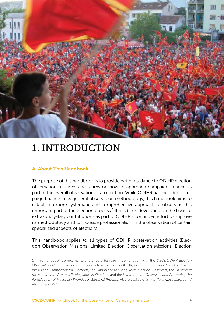<span id="page-8-0"></span>

# 1. INTRODUCTION

#### A. About This Handbook

The purpose of this handbook is to provide better guidance to ODIHR election observation missions and teams on how to approach campaign finance as part of the overall observation of an election. While ODIHR has included campaign finance in its general observation methodology, this handbook aims to establish a more systematic and comprehensive approach to observing this important part of the election process.<sup>1</sup> It has been developed on the basis of extra-budgetary contributions as part of ODIHR's continued effort to improve its methodology and to increase professionalism in the observation of certain specialized aspects of elections.

This handbook applies to all types of ODIHR observation activities (Election Observation Missions, Limited Election Observation Missions, Election

<sup>1</sup> This handbook complements and should be read in conjunction with the *OSCE/ODIHR Election Observation Handbook* and other publications issued by ODIHR, including: the *Guidelines for Reviewing a Legal Framework for Elections*, the *Handbook for Long-Term Election Observers*, the *Handbook for Monitoring Women's Participation in Elections* and the *Handbook on Observing and Promoting the Participation of National Minorities in Electoral Process.* All are available at [http://www.osce.org/odihr/](http://www.osce.org/odihr/elections/75352) [elections/75352](http://www.osce.org/odihr/elections/75352).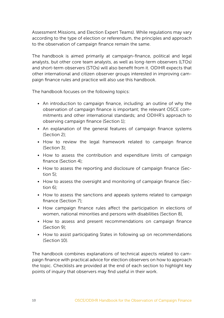Assessment Missions, and Election Expert Teams). While regulations may vary according to the type of election or referendum, the principles and approach to the observation of campaign finance remain the same.

The handbook is aimed primarily at campaign-finance, political and legal analysts, but other core team analysts, as well as long-term observers (LTOs) and short-term observers (STOs) will also benefit from it. ODIHR expects that other international and citizen observer groups interested in improving campaign finance rules and practice will also use this handbook.

The handbook focuses on the following topics:

- An introduction to campaign finance, including: an outline of why the observation of campaign finance is important; the relevant OSCE commitments and other international standards; and ODIHR's approach to observing campaign finance (Section 1);
- An explanation of the general features of campaign finance systems (Section 2);
- How to review the legal framework related to campaign finance (Section 3);
- How to assess the contribution and expenditure limits of campaign finance (Section 4);
- How to assess the reporting and disclosure of campaign finance (Section 5);
- How to assess the oversight and monitoring of campaign finance (Section 6);
- How to assess the sanctions and appeals systems related to campaign finance (Section 7);
- How campaign finance rules affect the participation in elections of women, national minorities and persons with disabilities (Section 8),
- How to assess and present recommendations on campaign finance (Section 9);
- How to assist participating States in following up on recommendations (Section 10).

The handbook combines explanations of technical aspects related to campaign finance with practical advice for election observers on how to approach the topic. Checklists are provided at the end of each section to highlight key points of inquiry that observers may find useful in their work.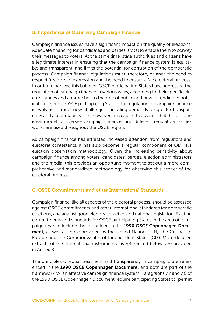### <span id="page-10-0"></span>B. Importance of Observing Campaign Finance

Campaign finance issues have a significant impact on the quality of elections. Adequate financing for candidates and parties is vital to enable them to convey their messages to voters. At the same time, state authorities and citizens have a legitimate interest in ensuring that the campaign finance system is equitable and transparent, and limits the potential for corruption of the democratic process. Campaign finance regulations must, therefore, balance the need to respect freedom of expression and the need to ensure a fair electoral process. In order to achieve this balance, OSCE participating States have addressed the regulation of campaign finance in various ways, according to their specific circumstances and approaches to the role of public and private funding in political life. In most OSCE participating States, the regulation of campaign finance is evolving to meet new challenges, including demands for greater transparency and accountability. It is, however, misleading to assume that there is one ideal model to oversee campaign finance, and different regulatory frameworks are used throughout the OSCE region.

As campaign finance has attracted increased attention from regulators and electoral contestants, it has also become a regular component of ODIHR's election observation methodology. Given the increasing sensitivity about campaign finance among voters, candidates, parties, election administrators and the media, this provides an opportune moment to set out a more comprehensive and standardized methodology for observing this aspect of the electoral process.

# C. OSCE Commitments and other International Standards

Campaign finance, like all aspects of the electoral process, should be assessed against OSCE commitments and other international standards for democratic elections, and against good electoral practice and national legislation. Existing commitments and standards for OSCE participating States in the area of campaign finance include those outlined in the 1990 OSCE Copenhagen Document, as well as those provided by the United Nations (UN), the Council of Europe and the Commonwealth of Independent States (CIS). More detailed extracts of the international instruments, as referenced below, are provided in Annex B.

The principles of equal treatment and transparency in campaigns are referenced in the 1990 OSCE Copenhagen Document, and both are part of the framework for an effective campaign finance system. Paragraphs 7.7 and 7.6 of the 1990 OSCE Copenhagen Document require participating States to "permit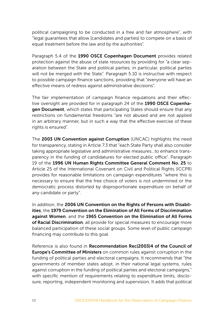political campaigning to be conducted in a free and fair atmosphere", with "legal guarantees that allow [candidates and parties] to compete on a basis of equal treatment before the law and by the authorities".

Paragraph 5.4 of the 1990 OSCE Copenhagen Document provides related protection against the abuse of state resources by providing for "a clear separation between the State and political parties; in particular, political parties will not be merged with the State". Paragraph 5.10 is instructive with respect to possible campaign finance sanctions, providing that "everyone will have an effective means of redress against administrative decisions".

The fair implementation of campaign finance regulations and their effective oversight are provided for in paragraph 24 of the 1990 OSCE Copenhagen Document, which states that participating States should ensure that any restrictions on fundamental freedoms "are not abused and are not applied in an arbitrary manner, but in such a way that the effective exercise of these rights is ensured".

The 2003 UN Convention against Corruption (UNCAC) highlights the need for transparency, stating in Article 7.3 that "each State Party shall also consider taking appropriate legislative and administrative measures…to enhance transparency in the funding of candidatures for elected public office". Paragraph 19 of the 1996 UN Human Rights Committee General Comment No. 25 to Article 25 of the International Covenant on Civil and Political Rights (ICCPR) provides for reasonable limitations on campaign expenditures "where this is necessary to ensure that the free choice of voters is not undermined or the democratic process distorted by disproportionate expenditure on behalf of any candidate or party".

In addition, the 2006 UN Convention on the Rights of Persons with Disabilities, the 1979 Convention on the Elimination of All Forms of Discrimination against Women, and the 1965 Convention on the Elimination of All Forms of Racial Discrimination, all provide for special measures to encourage more balanced participation of these social groups. Some level of public campaign financing may contribute to this goal.

Reference is also found in Recommendation Rec(2003)4 of the Council of Europe's Committee of Ministers on common rules against corruption in the funding of political parties and electoral campaigns. It recommends that "the governments of member states adopt, in their national legal systems, rules against corruption in the funding of political parties and electoral campaigns," with specific mention of requirements relating to expenditure limits, disclosure, reporting, independent monitoring and supervision. It adds that political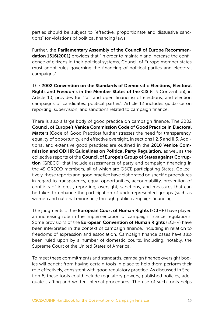parties should be subject to "effective, proportionate and dissuasive sanctions" for violations of political financing laws.

Further, the Parliamentary Assembly of the Council of Europe Recommendation 1516(2001) provides that "in order to maintain and increase the confidence of citizens in their political systems, Council of Europe member states must adopt rules governing the financing of political parties and electoral campaigns".

The 2002 Convention on the Standards of Democratic Elections, Electoral Rights and Freedoms in the Member States of the CIS (CIS Convention), in Article 10, provides for "fair and open financing of elections, and election campaigns of candidates, political parties". Article 12 includes guidance on reporting, supervision, and sanctions related to campaign finance.

There is also a large body of good practice on campaign finance. The 2002 Council of Europe's Venice Commission Code of Good Practice in Electoral Matters (Code of Good Practice) further stresses the need for transparency, equality of opportunity, and effective oversight, in sections I.2.3 and II.3. Additional and extensive good practices are outlined in the 2010 Venice Commission and ODIHR Guidelines on Political Party Regulation, as well as the collective reports of the Council of Europe's Group of States against Corruption (GRECO) that include assessments of party and campaign financing in the 49 GRECO members, all of which are OSCE participating States. Collectively, these reports and good practice have elaborated on specific procedures in regard to transparency, equal opportunities, accountability, prevention of conflicts of interest, reporting, oversight, sanctions, and measures that can be taken to enhance the participation of underrepresented groups (such as women and national minorities) through public campaign financing.

The judgments of the **European Court of Human Rights** (ECtHR) have played an increasing role in the implementation of campaign finance regulations. Some provisions of the European Convention of Human Rights (ECHR) have been interpreted in the context of campaign finance, including in relation to freedoms of expression and association. Campaign finance cases have also been ruled upon by a number of domestic courts, including, notably, the Supreme Court of the United States of America.

To meet these commitments and standards, campaign finance oversight bodies will benefit from having certain tools in place to help them perform their role effectively, consistent with good regulatory practice. As discussed in Section 6, these tools could include regulatory powers, published policies, adequate staffing and written internal procedures. The use of such tools helps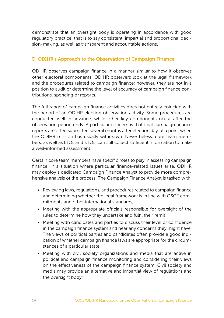<span id="page-13-0"></span>demonstrate that an oversight body is operating in accordance with good regulatory practice, that is to say consistent, impartial and proportional decision-making, as well as transparent and accountable actions.

#### D. ODIHR's Approach to the Observation of Campaign Finance

ODIHR observes campaign finance in a manner similar to how it observes other electoral components. ODIHR observers look at the legal framework and the procedures related to campaign finance; however, they are not in a position to audit or determine the level of accuracy of campaign finance contributions, spending or reports.

The full range of campaign finance activities does not entirely coincide with the period of an ODIHR election observation activity. Some procedures are conducted well in advance, while other key components occur after the observation period ends. A particular concern is that final campaign finance reports are often submitted several months after election day, at a point when the ODIHR mission has usually withdrawn. Nevertheless, core team members, as well as LTOs and STOs, can still collect sufficient information to make a well-informed assessment.

Certain core team members have specific roles to play in assessing campaign finance. In a situation where particular finance-related issues arise, ODIHR may deploy a dedicated Campaign Finance Analyst to provide more comprehensive analysis of the process. The Campaign Finance Analyst is tasked with:

- Reviewing laws, regulations, and procedures related to campaign finance and determining whether the legal framework is in line with OSCE commitments and other international standards;
- Meeting with the appropriate officials responsible for oversight of the rules to determine how they undertake and fulfil their remit;
- Meeting with candidates and parties to discuss their level of confidence in the campaign finance system and hear any concerns they might have. The views of political parties and candidates often provide a good indication of whether campaign finance laws are appropriate for the circumstances of a particular state;
- Meeting with civil society organizations and media that are active in political and campaign finance monitoring and considering their views on the effectiveness of the campaign finance system. Civil society and media may provide an alternative and impartial view of regulations and the oversight body;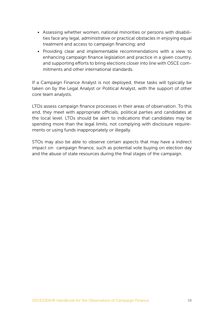- Assessing whether women, national minorities or persons with disabilities face any legal, administrative or practical obstacles in enjoying equal treatment and access to campaign financing; and
- Providing clear and implementable recommendations with a view to enhancing campaign finance legislation and practice in a given country, and supporting efforts to bring elections closer into line with OSCE commitments and other international standards.

If a Campaign Finance Analyst is not deployed, these tasks will typically be taken on by the Legal Analyst or Political Analyst, with the support of other core team analysts.

LTOs assess campaign finance processes in their areas of observation. To this end, they meet with appropriate officials, political parties and candidates at the local level. LTOs should be alert to indications that candidates may be spending more than the legal limits, not complying with disclosure requirements or using funds inappropriately or illegally.

STOs may also be able to observe certain aspects that may have a indirect impact on campaign finance, such as potential vote buying on election day and the abuse of state resources during the final stages of the campaign.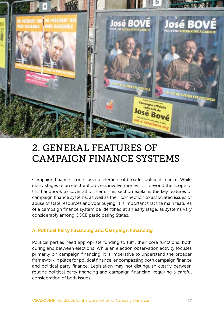<span id="page-16-0"></span>

# 2. GENERAL FEATURES OF CAMPAIGN FINANCE SYSTEMS

Campaign finance is one specific element of broader political finance. While many stages of an electoral process involve money, it is beyond the scope of this handbook to cover all of them. This section explains the key features of campaign finance systems, as well as their connection to associated issues of abuse of state resources and vote buying. It is important that the main features of a campaign finance system be identified at an early stage, as systems vary considerably among OSCE participating States.

# A. Political Party Financing and Campaign Financing

Political parties need appropriate funding to fulfil their core functions, both during and between elections. While an election observation activity focuses primarily on campaign financing, it is imperative to understand the broader framework in place for political finance, encompassing both campaign finance and political party finance. Legislation may not distinguish clearly between routine political party financing and campaign financing, requiring a careful consideration of both issues.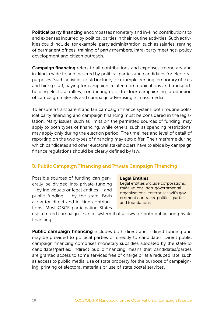<span id="page-17-0"></span>Political party financing encompasses monetary and in-kind contributions to and expenses incurred by political parties in their routine activities. Such activities could include, for example, party administration, such as salaries, renting of permanent offices, training of party members, intra-party meetings, policy development and citizen outreach.

Campaign financing refers to all contributions and expenses, monetary and in-kind, made to and incurred by political parties and candidates for electoral purposes. Such activities could include, for example, renting temporary offices and hiring staff, paying for campaign-related communications and transport, holding electoral rallies, conducting door-to-door campaigning, production of campaign materials and campaign advertising in mass media.

To ensure a transparent and fair campaign finance system, both routine political party financing and campaign financing must be considered in the legislation. Many issues, such as limits on the permitted sources of funding, may apply to both types of financing, while others, such as spending restrictions, may apply only during the election period. The timelines and level of detail of reporting on the two types of financing may also differ. The timeframe during which candidates and other electoral stakeholders have to abide by campaign finance regulations should be clearly defined by law.

#### B. Public Campaign Financing and Private Campaign Financing

Possible sources of funding can generally be divided into private funding – by individuals or legal entities – and public funding – by the state. Both allow for direct and in-kind contributions. Most OSCE participating States

#### Legal Entities

Legal entities include corporations, trade unions, non-governmental organizations, enterprises with government contracts, political parties and foundations.

use a mixed campaign finance system that allows for both public and private financing.

Public campaign financing includes both direct and indirect funding and may be provided to political parties or directly to candidates. Direct public campaign financing comprises monetary subsidies allocated by the state to candidates/parties. Indirect public financing means that candidates/parties are granted access to some services free of charge or at a reduced rate, such as access to public media, use of state property for the purpose of campaigning, printing of electoral materials or use of state postal services.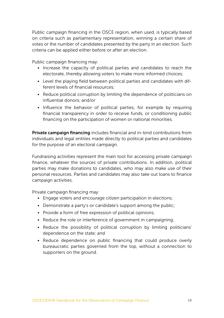Public campaign financing in the OSCE region, when used, is typically based on criteria such as parliamentary representation, winning a certain share of votes or the number of candidates presented by the party in an election. Such criteria can be applied either before or after an election.

Public campaign financing may:

- Increase the capacity of political parties and candidates to reach the electorate, thereby allowing voters to make more informed choices;
- Level the playing field between political parties and candidates with different levels of financial resources;
- Reduce political corruption by limiting the dependence of politicians on influential donors; and/or
- Influence the behavior of political parties, for example by requiring financial transparency in order to receive funds, or conditioning public financing on the participation of women or national minorities.

Private campaign financing includes financial and in-kind contributions from individuals and legal entities made directly to political parties and candidates for the purpose of an electoral campaign.

Fundraising activities represent the main tool for accessing private campaign finance, whatever the sources of private contributions. In addition, political parties may make donations to candidates, who may also make use of their personal resources. Parties and candidates may also take out loans to finance campaign activities.

Private campaign financing may:

- Engage voters and encourage citizen participation in elections;
- Demonstrate a party's or candidate's support among the public;
- Provide a form of free expression of political opinions;
- Reduce the role or interference of government in campaigning;
- Reduce the possibility of political corruption by limiting politicians' dependence on the state; and
- Reduce dependence on public financing that could produce overly bureaucratic parties governed from the top, without a connection to supporters on the ground.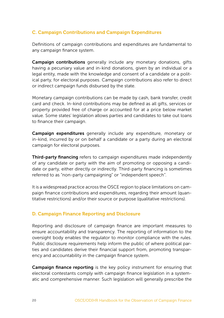# <span id="page-19-0"></span>C. Campaign Contributions and Campaign Expenditures

Definitions of campaign contributions and expenditures are fundamental to any campaign finance system.

Campaign contributions generally include any monetary donations, gifts having a pecuniary value and in-kind donations, given by an individual or a legal entity, made with the knowledge and consent of a candidate or a political party, for electoral purposes. Campaign contributions also refer to direct or indirect campaign funds disbursed by the state.

Monetary campaign contributions can be made by cash, bank transfer, credit card and check. In-kind contributions may be defined as all gifts, services or property provided free of charge or accounted for at a price below market value. Some states' legislation allows parties and candidates to take out loans to finance their campaign.

Campaign expenditures generally include any expenditure, monetary or in-kind, incurred by or on behalf a candidate or a party during an electoral campaign for electoral purposes.

Third-party financing refers to campaign expenditures made independently of any candidate or party with the aim of promoting or opposing a candidate or party, either directly or indirectly. Third-party financing is sometimes referred to as "non-party campaigning" or "independent speech".

It is a widespread practice across the OSCE region to place limitations on campaign finance contributions and expenditures, regarding their amount (quantitative restrictions) and/or their source or purpose (qualitative restrictions).

#### D. Campaign Finance Reporting and Disclosure

Reporting and disclosure of campaign finance are important measures to ensure accountability and transparency. The reporting of information to the oversight body enables the regulator to monitor compliance with the rules. Public disclosure requirements help inform the public of where political parties and candidates derive their financial support from, promoting transparency and accountability in the campaign finance system.

Campaign finance reporting is the key policy instrument for ensuring that electoral contestants comply with campaign finance legislation in a systematic and comprehensive manner. Such legislation will generally prescribe the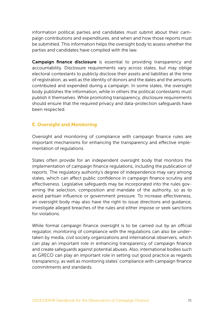<span id="page-20-0"></span>information political parties and candidates must submit about their campaign contributions and expenditures, and when and how those reports must be submitted. This information helps the oversight body to assess whether the parties and candidates have complied with the law.

Campaign finance disclosure is essential to providing transparency and accountability. Disclosure requirements vary across states, but may oblige electoral contestants to publicly disclose their assets and liabilities at the time of registration, as well as the identity of donors and the dates and the amounts contributed and expended during a campaign. In some states, the oversight body publishes the information, while in others the political contestants must publish it themselves. While promoting transparency, disclosure requirements should ensure that the required privacy and data-protection safeguards have been respected.

#### E. Oversight and Monitoring

Oversight and monitoring of compliance with campaign finance rules are important mechanisms for enhancing the transparency and effective implementation of regulations.

States often provide for an independent oversight body that monitors the implementation of campaign finance regulations, including the publication of reports. The regulatory authority's degree of independence may vary among states, which can affect public confidence in campaign finance scrutiny and effectiveness. Legislative safeguards may be incorporated into the rules governing the selection, composition and mandate of the authority, so as to avoid partisan influence or government pressure. To increase effectiveness, an oversight body may also have the right to issue directions and guidance, investigate alleged breaches of the rules and either impose or seek sanctions for violations.

While formal campaign finance oversight is to be carried out by an official regulator, monitoring of compliance with the regulations can also be undertaken by media, civil society organizations and international observers, which can play an important role in enhancing transparency of campaign finance and create safeguards against potential abuses. Also, international bodies such as GRECO can play an important role in setting out good practice as regards transparency, as well as monitoring states' compliance with campaign finance commitments and standards.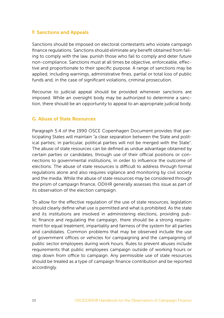#### <span id="page-21-0"></span>F. Sanctions and Appeals

Sanctions should be imposed on electoral contestants who violate campaign finance regulations. Sanctions should eliminate any benefit obtained from failing to comply with the law, punish those who fail to comply and deter future non-compliance. Sanctions must at all times be objective, enforceable, effective and proportionate to their specific purpose. A range of sanctions may be applied, including warnings, administrative fines, partial or total loss of public funds and, in the case of significant violations, criminal prosecution.

Recourse to judicial appeal should be provided whenever sanctions are imposed. While an oversight body may be authorized to determine a sanction, there should be an opportunity to appeal to an appropriate judicial body.

#### G. Abuse of State Resources

Paragraph 5.4 of the 1990 OSCE Copenhagen Document provides that participating States will maintain "a clear separation between the State and political parties; in particular, political parties will not be merged with the State". The abuse of state resources can be defined as undue advantage obtained by certain parties or candidates, through use of their official positions or connections to governmental institutions, in order to influence the outcome of elections. The abuse of state resources is difficult to address through formal regulations alone and also requires vigilance and monitoring by civil society and the media. While the abuse of state resources may be considered through the prism of campaign finance, ODIHR generally assesses this issue as part of its observation of the election campaign.

To allow for the effective regulation of the use of state resources, legislation should clearly define what use is permitted and what is prohibited. As the state and its institutions are involved in administering elections, providing public finance and regulating the campaign, there should be a strong requirement for equal treatment, impartiality and fairness of the system for all parties and candidates. Common problems that may be observed include the use of government offices or vehicles for campaigning and the campaigning of public sector employees during work hours. Rules to prevent abuses include requirements that public employees campaign outside of working hours or step down from office to campaign. Any permissible use of state resources should be treated as a type of campaign finance contribution and be reported accordingly.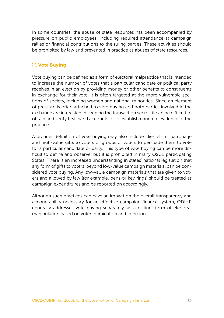<span id="page-22-0"></span>In some countries, the abuse of state resources has been accompanied by pressure on public employees, including required attendance at campaign rallies or financial contributions to the ruling parties. These activities should be prohibited by law and prevented in practice as abuses of state resources.

#### H. Vote Buying

Vote buying can be defined as a form of electoral malpractice that is intended to increase the number of votes that a particular candidate or political party receives in an election by providing money or other benefits to constituents in exchange for their vote. It is often targeted at the more vulnerable sections of society, including women and national minorities. Since an element of pressure is often attached to vote buying and both parties involved in the exchange are interested in keeping the transaction secret, it can be difficult to obtain and verify first-hand accounts or to establish concrete evidence of the practice.

A broader definition of vote buying may also include clientelism, patronage and high-value gifts to voters or groups of voters to persuade them to vote for a particular candidate or party. This type of vote buying can be more difficult to define and observe, but it is prohibited in many OSCE participating States. There is an increased understanding in states' national legislation that any form of gifts to voters, beyond low-value campaign materials, can be considered vote buying. Any low-value campaign materials that are given to voters and allowed by law (for example, pens or key rings) should be treated as campaign expenditures and be reported on accordingly.

Although such practices can have an impact on the overall transparency and accountability necessary for an effective campaign finance system, ODIHR generally addresses vote buying separately, as a distinct form of electoral manipulation based on voter intimidation and coercion.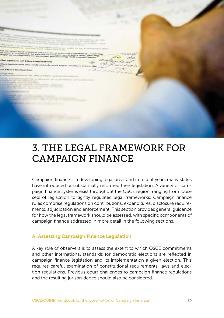<span id="page-24-0"></span>

# 3. THE LEGAL FRAMEWORK FOR CAMPAIGN FINANCE

Campaign finance is a developing legal area, and in recent years many states have introduced or substantially reformed their legislation. A variety of campaign finance systems exist throughout the OSCE region, ranging from loose sets of legislation to tightly regulated legal frameworks. Campaign finance rules comprise regulations on contributions, expenditures, disclosure requirements, adjudication and enforcement. This section provides general guidance for how the legal framework should be assessed, with specific components of campaign finance addressed in more detail in the following sections.

#### A. Assessing Campaign Finance Legislation

A key role of observers is to assess the extent to which OSCE commitments and other international standards for democratic elections are reflected in campaign finance legislation and its implementation a given election. This requires careful examination of constitutional requirements, laws and election regulations. Previous court challenges to campaign finance regulations and the resulting jurisprudence should also be considered.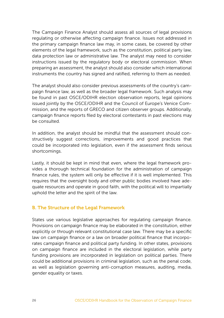<span id="page-25-0"></span>The Campaign Finance Analyst should assess all sources of legal provisions regulating or otherwise affecting campaign finance. Issues not addressed in the primary campaign finance law may, in some cases, be covered by other elements of the legal framework, such as the constitution, political party law, data protection law or administrative law. The analyst may need to consider instructions issued by the regulatory body or electoral commission. When preparing an assessment, the analyst should also consider which international instruments the country has signed and ratified, referring to them as needed.

The analyst should also consider previous assessments of the country's campaign finance law, as well as the broader legal framework. Such analysis may be found in past OSCE/ODIHR election observation reports, legal opinions issued jointly by the OSCE/ODIHR and the Council of Europe's Venice Commission, and the reports of GRECO and citizen observer groups. Additionally, campaign finance reports filed by electoral contestants in past elections may be consulted.

In addition, the analyst should be mindful that the assessment should constructively suggest corrections, improvements and good practices that could be incorporated into legislation, even if the assessment finds serious shortcomings.

Lastly, it should be kept in mind that even, where the legal framework provides a thorough technical foundation for the administration of campaign finance rules, the system will only be effective if it is well implemented. This requires that the oversight body and other public bodies involved have adequate resources and operate in good faith, with the political will to impartially uphold the letter and the spirit of the law.

#### B. The Structure of the Legal Framework

States use various legislative approaches for regulating campaign finance. Provisions on campaign finance may be elaborated in the constitution, either explicitly or through relevant constitutional case law. There may be a specific law on campaign finance or a law on broader political finance that incorporates campaign finance and political party funding. In other states, provisions on campaign finance are included in the electoral legislation, while party funding provisions are incorporated in legislation on political parties. There could be additional provisions in criminal legislation, such as the penal code, as well as legislation governing anti-corruption measures, auditing, media, gender equality or taxes.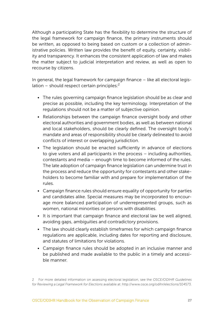Although a participating State has the flexibility to determine the structure of the legal framework for campaign finance, the primary instruments should be written, as opposed to being based on custom or a collection of administrative policies. Written law provides the benefit of equity, certainty, visibility and transparency. It enhances the consistent application of law and makes the matter subject to judicial interpretation and review, as well as open to recourse by citizens.

In general, the legal framework for campaign finance – like all electoral legislation – should respect certain principles: $2$ 

- The rules governing campaign finance legislation should be as clear and precise as possible, including the key terminology. Interpretation of the regulations should not be a matter of subjective opinion.
- Relationships between the campaign finance oversight body and other electoral authorities and government bodies, as well as between national and local stakeholders, should be clearly defined. The oversight body's mandate and areas of responsibility should be clearly delineated to avoid conflicts of interest or overlapping jurisdiction.
- The legislation should be enacted sufficiently in advance of elections to give voters and all participants in the process – including authorities, contestants and media – enough time to become informed of the rules. The late adoption of campaign finance legislation can undermine trust in the process and reduce the opportunity for contestants and other stakeholders to become familiar with and prepare for implementation of the rules.
- Campaign finance rules should ensure equality of opportunity for parties and candidates alike. Special measures may be incorporated to encourage more balanced participation of underrepresented groups, such as women, national minorities or persons with disabilities.
- It is important that campaign finance and electoral law be well aligned, avoiding gaps, ambiguities and contradictory provisions.
- The law should clearly establish timeframes for which campaign finance regulations are applicable, including dates for reporting and disclosure, and statutes of limitations for violations.
- Campaign finance rules should be adopted in an inclusive manner and be published and made available to the public in a timely and accessible manner.

<sup>2</sup> For more detailed information on assessing electoral legislation, see the *OSCE/ODIHR Guidelines for Reviewing a Legal Framework for Elections* available at: <http://www.osce.org/odihr/elections/104573>.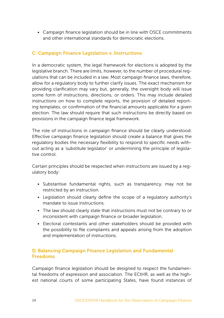<span id="page-27-0"></span>• Campaign finance legislation should be in line with OSCE commitments and other international standards for democratic elections.

### C. Campaign Finance Legislation v. Instructions

In a democratic system, the legal framework for elections is adopted by the legislative branch. There are limits, however, to the number of procedural regulations that can be included in a law. Most campaign finance laws, therefore, allow for a regulatory body to further clarify issues. The exact mechanism for providing clarification may vary but, generally, the oversight body will issue some form of instructions, directions, or orders. This may include detailed instructions on how to complete reports, the provision of detailed reporting templates, or confirmation of the financial amounts applicable for a given election. The law should require that such instructions be directly based on provisions in the campaign finance legal framework.

The role of instructions in campaign finance should be clearly understood. Effective campaign finance legislation should create a balance that gives the regulatory bodies the necessary flexibility to respond to specific needs without acting as a 'substitute legislator' or undermining the principle of legislative control.

Certain principles should be respected when instructions are issued by a regulatory body:

- Substantive fundamental rights, such as transparency, may not be restricted by an instruction.
- Legislation should clearly define the scope of a regulatory authority's mandate to issue instructions.
- The law should clearly state that instructions must not be contrary to or inconsistent with campaign finance or broader legislation.
- Electoral contestants and other stakeholders should be provided with the possibility to file complaints and appeals arising from the adoption and implementation of instructions.

#### D. Balancing Campaign Finance Legislation and Fundamental Freedoms

Campaign finance legislation should be designed to respect the fundamental freedoms of expression and association. The ECtHR, as well as the highest national courts of some participating States, have found instances of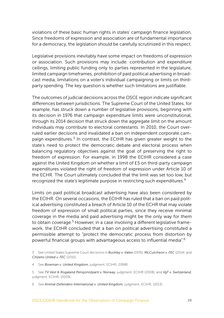violations of these basic human rights in states' campaign finance legislation. Since freedoms of expression and association are of fundamental importance for a democracy, the legislation should be carefully scrutinized in this respect.

Legislative provisions inevitably have some impact on freedoms of expression or association. Such provisions may include: contribution and expenditure ceilings, limiting public funding only to parties represented in the legislature, limited campaign timeframes, prohibition of paid political advertising in broadcast media, limitations on a voter's individual campaigning or limits on thirdparty spending. The key question is whether such limitations are justifiable.

The outcomes of judicial decisions across the OSCE region indicate significant differences between jurisdictions. The Supreme Court of the United States, for example, has struck down a number of legislative provisions, beginning with its decision in 1976 that campaign expenditure limits were unconstitutional, through its 2014 decision that struck down the aggregate limit on the amount individuals may contribute to electoral contestants. In 2010, the Court overruled earlier decisions and invalidated a ban on independent corporate campaign expenditures.<sup>3</sup> In contrast, the ECtHR has given greater weight to the state's need to protect the democratic debate and electoral process when balancing regulatory objectives against the goal of preserving the right to freedom of expression. For example, in 1998 the ECtHR considered a case against the United Kingdom on whether a limit of £5 on third-party campaign expenditures violated the right of freedom of expression under Article 10 of the ECHR. The Court ultimately concluded that the limit was set too low, but recognized the state's legitimate purpose in restricting such expenditures.<sup>4</sup>

Limits on paid political broadcast advertising have also been considered by the ECtHR. On several occasions, the ECtHR has ruled that a ban on paid political advertising constituted a breach of Article 10 of the ECHR that may violate freedom of expression of small political parties, since they receive minimal coverage in the media and paid advertising might be the only way for them to obtain coverage.<sup>5</sup> However, in a case involving a different legislative framework, the ECtHR concluded that a ban on political advertising constituted a permissible attempt to "protect the democratic process from distortion by powerful financial groups with advantageous access to influential media".<sup>6</sup>

3 See United States Supreme Court decisions in *Buckley v. Valeo* (1976), *McCutcheon v. FEC* (2014) and *Citizens United v. FEC* (2010).

4 See *Bowman v. United Kingdom*, judgment, ECtHR, (1998).

5 See *TV Vest & Rogaland Pensjonistparti v. Norway*, judgment, ECtHR (2008), and *VgT v. Switzerland,*  judgment, ECtHR, (2009).

6 See *Animal Defenders International v. United Kingdom,* judgment, ECtHR, (2013).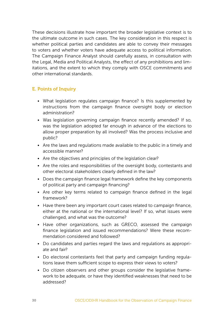<span id="page-29-0"></span>These decisions illustrate how important the broader legislative context is to the ultimate outcome in such cases. The key consideration in this respect is whether political parties and candidates are able to convey their messages to voters and whether voters have adequate access to political information. The Campaign Finance Analyst should carefully assess, in consultation with the Legal, Media and Political Analysts, the effect of any prohibitions and limitations, and the extent to which they comply with OSCE commitments and other international standards.

# E. Points of Inquiry

- What legislation regulates campaign finance? Is this supplemented by instructions from the campaign finance oversight body or election administration?
- Was legislation governing campaign finance recently amended? If so, was the legislation adopted far enough in advance of the elections to allow proper preparation by all involved? Was the process inclusive and public?
- Are the laws and regulations made available to the public in a timely and accessible manner?
- Are the objectives and principles of the legislation clear?
- Are the roles and responsibilities of the oversight body, contestants and other electoral stakeholders clearly defined in the law?
- Does the campaign finance legal framework define the key components of political party and campaign financing?
- Are other key terms related to campaign finance defined in the legal framework?
- Have there been any important court cases related to campaign finance, either at the national or the international level? If so, what issues were challenged, and what was the outcome?
- Have other organizations, such as GRECO, assessed the campaign finance legislation and issued recommendations? Were these recommendation considered and followed?
- Do candidates and parties regard the laws and regulations as appropriate and fair?
- Do electoral contestants feel that party and campaign funding regulations leave them sufficient scope to express their views to voters?
- Do citizen observers and other groups consider the legislative framework to be adequate, or have they identified weaknesses that need to be addressed?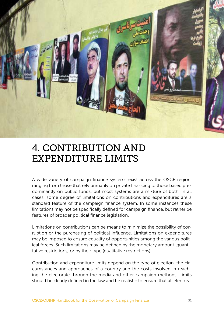<span id="page-30-0"></span>

# 4. CONTRIBUTION AND EXPENDITURE LIMITS

A wide variety of campaign finance systems exist across the OSCE region, ranging from those that rely primarily on private financing to those based predominantly on public funds, but most systems are a mixture of both. In all cases, some degree of limitations on contributions and expenditures are a standard feature of the campaign finance system. In some instances these limitations may not be specifically defined for campaign finance, but rather be features of broader political finance legislation.

Limitations on contributions can be means to minimize the possibility of corruption or the purchasing of political influence. Limitations on expenditures may be imposed to ensure equality of opportunities among the various political forces. Such limitations may be defined by the monetary amount (quantitative restrictions) or by their type (qualitative restrictions).

Contribution and expenditure limits depend on the type of election, the circumstances and approaches of a country and the costs involved in reaching the electorate through the media and other campaign methods. Limits should be clearly defined in the law and be realistic to ensure that all electoral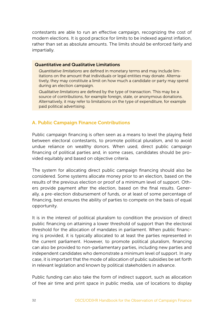<span id="page-31-0"></span>contestants are able to run an effective campaign, recognizing the cost of modern elections. It is good practice for limits to be indexed against inflation, rather than set as absolute amounts. The limits should be enforced fairly and impartially.

#### Quantitative and Qualitative Limitations

*Quantitative limitations* are defined in monetary terms and may include limitations on the amount that individuals or legal entities may donate. Alternatively, they may constitute a limit on how much a candidate or party may spend during an election campaign.

*Qualitative limitations* are defined by the type of transaction. This may be a source of contributions, for example foreign, state, or anonymous donations. Alternatively, it may refer to limitations on the type of expenditure, for example paid political advertising.

# A. Public Campaign Finance Contributions

Public campaign financing is often seen as a means to level the playing field between electoral contestants, to promote political pluralism, and to avoid undue reliance on wealthy donors. When used, direct public campaign financing of political parties and, in some cases, candidates should be provided equitably and based on objective criteria.

The system for allocating direct public campaign financing should also be considered. Some systems allocate money prior to an election, based on the results of the previous election or proof of a minimum level of support. Others provide payment after the election, based on the final results. Generally, a pre-election disbursement of funds, or at least of some percentage of financing, best ensures the ability of parties to compete on the basis of equal opportunity.

It is in the interest of political pluralism to condition the provision of direct public financing on attaining a lower threshold of support than the electoral threshold for the allocation of mandates in parliament. When public financing is provided, it is typically allocated to at least the parties represented in the current parliament. However, to promote political pluralism, financing can also be provided to non-parliamentary parties, including new parties and independent candidates who demonstrate a minimum level of support. In any case, it is important that the mode of allocation of public subsidies be set forth in relevant legislation and known by political stakeholders in advance.

Public funding can also take the form of indirect support, such as allocation of free air time and print space in public media, use of locations to display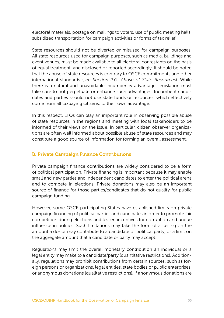<span id="page-32-0"></span>electoral materials, postage on mailings to voters, use of public meeting halls, subsidized transportation for campaign activities or forms of tax relief.

State resources should not be diverted or misused for campaign purposes. All state resources used for campaign purposes, such as media, buildings and event venues, must be made available to all electoral contestants on the basis of equal treatment, and disclosed or reported accordingly. It should be noted that the abuse of state resources is contrary to OSCE commitments and other international standards (see *Section 2.G. Abuse of State Resources*). While there is a natural and unavoidable incumbency advantage, legislation must take care to not perpetuate or enhance such advantages. Incumbent candidates and parties should not use state funds or resources, which effectively come from all taxpaying citizens, to their own advantage.

In this respect, LTOs can play an important role in observing possible abuse of state resources in the regions and meeting with local stakeholders to be informed of their views on the issue. In particular, citizen observer organizations are often well informed about possible abuse of state resources and may constitute a good source of information for forming an overall assessment.

### B. Private Campaign Finance Contributions

Private campaign finance contributions are widely considered to be a form of political participation. Private financing is important because it may enable small and new parties and independent candidates to enter the political arena and to compete in elections. Private donations may also be an important source of finance for those parties/candidates that do not qualify for public campaign funding.

However, some OSCE participating States have established limits on private campaign financing of political parties and candidates in order to promote fair competition during elections and lessen incentives for corruption and undue influence in politics. Such limitations may take the form of a ceiling on the amount a donor may contribute to a candidate or political party, or a limit on the aggregate amount that a candidate or party may accept.

Regulations may limit the overall monetary contribution an individual or a legal entity may make to a candidate/party (quantitative restrictions). Additionally, regulations may prohibit contributions from certain sources, such as foreign persons or organizations, legal entities, state bodies or public enterprises, or anonymous donations (qualitative restrictions). If anonymous donations are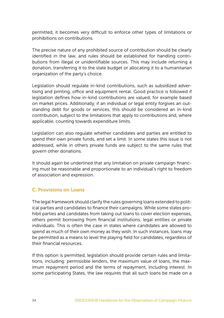<span id="page-33-0"></span>permitted, it becomes very difficult to enforce other types of limitations or prohibitions on contributions.

The precise nature of any prohibited source of contribution should be clearly identified in the law, and rules should be established for handling contributions from illegal or unidentifiable sources. This may include returning a donation, transferring it to the state budget or allocating it to a humanitarian organization of the party's choice.

Legislation should regulate in-kind contributions, such as subsidized advertising and printing, office and equipment rental. Good practice is followed if legislation defines how in-kind contributions are valued, for example based on market prices. Additionally, if an individual or legal entity forgives an outstanding debt for goods or services, this should be considered an in-kind contribution, subject to the limitations that apply to contributions and, where applicable, counting towards expenditure limits.

Legislation can also regulate whether candidates and parties are entitled to spend their own private funds, and set a limit. In some states this issue is not addressed, while in others private funds are subject to the same rules that govern other donations.

It should again be underlined that any limitation on private campaign financing must be reasonable and proportionate to an individual's right to freedom of association and expression.

# C. Provisions on Loans

The legal framework should clarify the rules governing loans extended to political parties and candidates to finance their campaigns. While some states prohibit parties and candidates from taking out loans to cover election expenses, others permit borrowing from financial institutions, legal entities or private individuals. This is often the case in states where candidates are allowed to spend as much of their own money as they wish. In such instances, loans may be permitted as a means to level the playing field for candidates, regardless of their financial resources.

If this option is permitted, legislation should provide certain rules and limitations, including: permissible lenders, the maximum value of loans, the maximum repayment period and the terms of repayment, including interest. In some participating States, the law requires that all such loans be made on a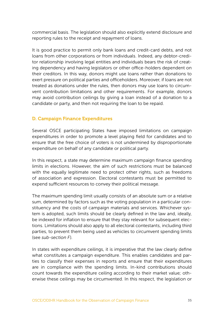<span id="page-34-0"></span>commercial basis. The legislation should also explicitly extend disclosure and reporting rules to the receipt and repayment of loans.

It is good practice to permit only bank loans and credit-card debts, and not loans from other corporations or from individuals. Indeed, any debtor-creditor relationship involving legal entities and individuals bears the risk of creating dependency and having legislators or other office-holders dependent on their creditors. In this way, donors might use loans rather than donations to exert pressure on political parties and officeholders. Moreover, if loans are not treated as donations under the rules, then donors may use loans to circumvent contribution limitations and other requirements. For example, donors may avoid contribution ceilings by giving a loan instead of a donation to a candidate or party, and then not requiring the loan to be repaid.

### D. Campaign Finance Expenditures

Several OSCE participating States have imposed limitations on campaign expenditures in order to promote a level playing field for candidates and to ensure that the free choice of voters is not undermined by disproportionate expenditure on behalf of any candidate or political party.

In this respect, a state may determine maximum campaign finance spending limits in elections. However, the aim of such restrictions must be balanced with the equally legitimate need to protect other rights, such as freedoms of association and expression. Electoral contestants must be permitted to expend sufficient resources to convey their political message.

The maximum spending limit usually consists of an absolute sum or a relative sum, determined by factors such as the voting population in a particular constituency and the costs of campaign materials and services. Whichever system is adopted, such limits should be clearly defined in the law and, ideally, be indexed for inflation to ensure that they stay relevant for subsequent elections. Limitations should also apply to all electoral contestants, including third parties, to prevent them being used as vehicles to circumvent spending limits (see *sub-section F*).

In states with expenditure ceilings, it is imperative that the law clearly define what constitutes a campaign expenditure. This enables candidates and parties to classify their expenses in reports and ensure that their expenditures are in compliance with the spending limits. In-kind contributions should count towards the expenditure ceiling according to their market value; otherwise these ceilings may be circumvented. In this respect, the legislation or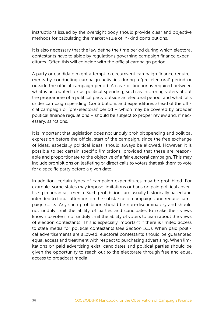instructions issued by the oversight body should provide clear and objective methods for calculating the market value of in-kind contributions.

It is also necessary that the law define the time period during which electoral contestants have to abide by regulations governing campaign finance expenditures. Often this will coincide with the official campaign period.

A party or candidate might attempt to circumvent campaign finance requirements by conducting campaign activities during a 'pre-electoral' period or outside the official campaign period. A clear distinction is required between what is accounted for as political spending, such as informing voters about the programme of a political party outside an electoral period, and what falls under campaign spending. Contributions and expenditures ahead of the official campaign or 'pre-electoral' period – which may be covered by broader political finance regulations – should be subject to proper review and, if necessary, sanctions.

It is important that legislation does not unduly prohibit spending and political expression before the official start of the campaign, since the free exchange of ideas, especially political ideas, should always be allowed. However, it is possible to set certain specific limitations, provided that these are reasonable and proportionate to the objective of a fair electoral campaign. This may include prohibitions on leafleting or direct calls to voters that ask them to vote for a specific party before a given date.

In addition, certain types of campaign expenditures may be prohibited. For example, some states may impose limitations or bans on paid political advertising in broadcast media. Such prohibitions are usually historically based and intended to focus attention on the substance of campaigns and reduce campaign costs. Any such prohibition should be non-discriminatory and should not unduly limit the ability of parties and candidates to make their views known to voters, nor unduly limit the ability of voters to learn about the views of election contestants. This is especially important if there is limited access to state media for political contestants (see *Section 3.D*). When paid political advertisements are allowed, electoral contestants should be guaranteed equal access and treatment with respect to purchasing advertising. When limitations on paid advertising exist, candidates and political parties should be given the opportunity to reach out to the electorate through free and equal access to broadcast media.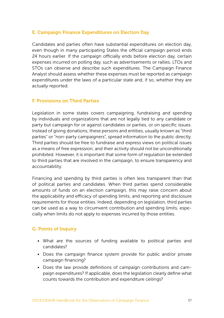### E. Campaign Finance Expenditures on Election Day

Candidates and parties often have substantial expenditures on election day, even though in many participating States the official campaign period ends 24 hours earlier. If the campaign officially ends before election day, certain expenses incurred on polling day, such as advertisements or rallies. LTOs and STOs can observe and describe such expenditures. The Campaign Finance Analyst should assess whether these expenses must be reported as campaign expenditures under the laws of a particular state and, if so, whether they are actually reported.

#### F. Provisions on Third Parties

Legislation in some states covers campaigning, fundraising and spending by individuals and organizations that are not legally tied to any candidate or party but campaign for or against candidates or parties, or on specific issues. Instead of giving donations, these persons and entities, usually known as "third parties" or "non-party campaigners", spread information to the public directly. Third parties should be free to fundraise and express views on political issues as a means of free expression, and their activity should not be unconditionally prohibited. However, it is important that some form of regulation be extended to third parties that are involved in the campaign, to ensure transparency and accountability.

Financing and spending by third parties is often less transparent than that of political parties and candidates. When third parties spend considerable amounts of funds on an election campaign, this may raise concern about the applicability and efficacy of spending limits, and reporting and disclosure requirements for those entities. Indeed, depending on legislation, third parties can be used as a way to circumvent contribution and spending limits, especially when limits do not apply to expenses incurred by those entities.

#### G. Points of Inquiry

- What are the sources of funding available to political parties and candidates?
- Does the campaign finance system provide for public and/or private campaign financing?
- Does the law provide definitions of campaign contributions and campaign expenditures? If applicable, does the legislation clearly define what counts towards the contribution and expenditure ceilings?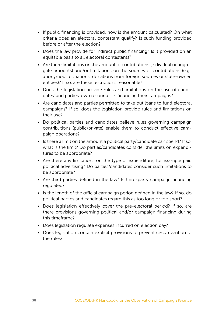- If public financing is provided, how is the amount calculated? On what criteria does an electoral contestant qualify? Is such funding provided before or after the election?
- Does the law provide for indirect public financing? Is it provided on an equitable basis to all electoral contestants?
- Are there limitations on the amount of contributions (individual or aggregate amounts) and/or limitations on the sources of contributions (e.g., anonymous donations, donations from foreign sources or state-owned entities)? If so, are these restrictions reasonable?
- Does the legislation provide rules and limitations on the use of candidates' and parties' own resources in financing their campaigns?
- Are candidates and parties permitted to take out loans to fund electoral campaigns? If so, does the legislation provide rules and limitations on their use?
- Do political parties and candidates believe rules governing campaign contributions (public/private) enable them to conduct effective campaign operations?
- Is there a limit on the amount a political party/candidate can spend? If so, what is the limit? Do parties/candidates consider the limits on expenditures to be appropriate?
- Are there any limitations on the type of expenditure, for example paid political advertising? Do parties/candidates consider such limitations to be appropriate?
- Are third parties defined in the law? Is third-party campaign financing regulated?
- Is the length of the official campaign period defined in the law? If so, do political parties and candidates regard this as too long or too short?
- Does legislation effectively cover the pre-electoral period? If so, are there provisions governing political and/or campaign financing during this timeframe?
- Does legislation regulate expenses incurred on election day?
- Does legislation contain explicit provisions to prevent circumvention of the rules?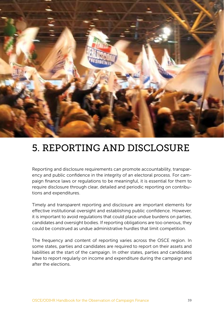

# 5. REPORTING AND DISCLOSURE

Reporting and disclosure requirements can promote accountability, transparency and public confidence in the integrity of an electoral process. For campaign finance laws or regulations to be meaningful, it is essential for them to require disclosure through clear, detailed and periodic reporting on contributions and expenditures.

Timely and transparent reporting and disclosure are important elements for effective institutional oversight and establishing public confidence. However, it is important to avoid regulations that could place undue burdens on parties, candidates and oversight bodies. If reporting obligations are too onerous, they could be construed as undue administrative hurdles that limit competition.

The frequency and content of reporting varies across the OSCE region. In some states, parties and candidates are required to report on their assets and liabilities at the start of the campaign. In other states, parties and candidates have to report regularly on income and expenditure during the campaign and after the elections.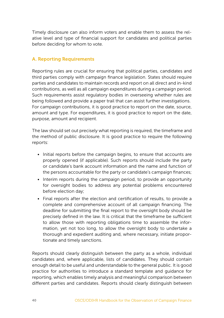Timely disclosure can also inform voters and enable them to assess the relative level and type of financial support for candidates and political parties before deciding for whom to vote.

#### A. Reporting Requirements

Reporting rules are crucial for ensuring that political parties, candidates and third parties comply with campaign finance legislation. States should require parties and candidates to maintain records and report on all direct and in-kind contributions, as well as all campaign expenditures during a campaign period. Such requirements assist regulatory bodies in overseeing whether rules are being followed and provide a paper trail that can assist further investigations. For campaign contributions, it is good practice to report on the date, source, amount and type. For expenditures, it is good practice to report on the date, purpose, amount and recipient.

The law should set out precisely what reporting is required, the timeframe and the method of public disclosure. It is good practice to require the following reports:

- Initial reports before the campaign begins, to ensure that accounts are properly opened (if applicable). Such reports should include the party or candidate's bank account information and the name and function of the persons accountable for the party or candidate's campaign finances;
- Interim reports during the campaign period, to provide an opportunity for oversight bodies to address any potential problems encountered before election day;
- Final reports after the election and certification of results, to provide a complete and comprehensive account of all campaign financing. The deadline for submitting the final report to the oversight body should be precisely defined in the law. It is critical that the timeframe be sufficient to allow those with reporting obligations time to assemble the information, yet not too long, to allow the oversight body to undertake a thorough and expedient auditing and, where necessary, initiate proportionate and timely sanctions.

Reports should clearly distinguish between the party as a whole, individual candidates and, where applicable, lists of candidates. They should contain enough detail to be useful and understandable to the general public. It is good practice for authorities to introduce a standard template and guidance for reporting, which enables timely analysis and meaningful comparison between different parties and candidates. Reports should clearly distinguish between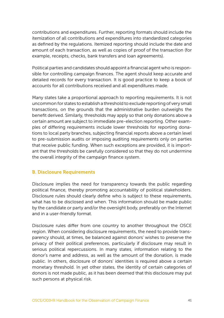contributions and expenditures. Further, reporting formats should include the itemization of all contributions and expenditures into standardized categories as defined by the regulations. Itemized reporting should include the date and amount of each transaction, as well as copies of proof of the transaction (for example, receipts, checks, bank transfers and loan agreements).

Political parties and candidates should appoint a financial agent who is responsible for controlling campaign finances. The agent should keep accurate and detailed records for every transaction. It is good practice to keep a book of accounts for all contributions received and all expenditures made.

Many states take a proportional approach to reporting requirements. It is not uncommon for states to establish a threshold to exclude reporting of very small transactions, on the grounds that the administrative burden outweighs the benefit derived. Similarly, thresholds may apply so that only donations above a certain amount are subject to immediate pre-election reporting. Other examples of differing requirements include lower thresholds for reporting donations to local party branches, subjecting financial reports above a certain level to pre-submission audits or imposing auditing requirements only on parties that receive public funding. When such exceptions are provided, it is important that the thresholds be carefully considered so that they do not undermine the overall integrity of the campaign finance system.

#### B. Disclosure Requirements

Disclosure implies the need for transparency towards the public regarding political finance, thereby promoting accountability of political stakeholders. Disclosure rules should clearly define who is subject to these requirements, what has to be disclosed and when. This information should be made public by the candidate or party and/or the oversight body, preferably on the Internet and in a user-friendly format.

Disclosure rules differ from one country to another throughout the OSCE region. When considering disclosure requirements, the need to provide transparency should, at times, be balanced against donors' wishes to preserve the privacy of their political preferences, particularly if disclosure may result in serious political repercussions. In many states, information relating to the donor's name and address, as well as the amount of the donation, is made public. In others, disclosure of donors' identities is required above a certain monetary threshold. In yet other states, the identity of certain categories of donors is not made public, as it has been deemed that this disclosure may put such persons at physical risk.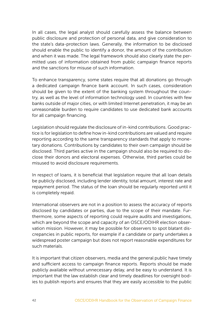In all cases, the legal analyst should carefully assess the balance between public disclosure and protection of personal data, and give consideration to the state's data-protection laws. Generally, the information to be disclosed should enable the public to identify a donor, the amount of the contribution and when it was made. The legal framework should also clearly state the permitted uses of information obtained from public campaign finance reports and the sanctions for misuse of such information.

To enhance transparency, some states require that all donations go through a dedicated campaign finance bank account. In such cases, consideration should be given to the extent of the banking system throughout the country, as well as the level of information technology used. In countries with few banks outside of major cities, or with limited Internet penetration, it may be an unreasonable burden to require candidates to use dedicated bank accounts for all campaign financing.

Legislation should regulate the disclosure of in-kind contributions. Good practice is for legislation to define how in-kind contributions are valued and require reporting according to the same transparency standards that apply to monetary donations. Contributions by candidates to their own campaign should be disclosed. Third parties active in the campaign should also be required to disclose their donors and electoral expenses. Otherwise, third parties could be misused to avoid disclosure requirements.

In respect of loans, it is beneficial that legislation require that all loan details be publicly disclosed, including lender identity, total amount, interest rate and repayment period. The status of the loan should be regularly reported until it is completely repaid.

International observers are not in a position to assess the accuracy of reports disclosed by candidates or parties, due to the scope of their mandate. Furthermore, some aspects of reporting could require audits and investigations, which are beyond the scope and capacity of an OSCE/ODIHR election observation mission. However, it may be possible for observers to spot blatant discrepancies in public reports, for example if a candidate or party undertakes a widespread poster campaign but does not report reasonable expenditures for such materials.

It is important that citizen observers, media and the general public have timely and sufficient access to campaign finance reports. Reports should be made publicly available without unnecessary delay, and be easy to understand. It is important that the law establish clear and timely deadlines for oversight bodies to publish reports and ensures that they are easily accessible to the public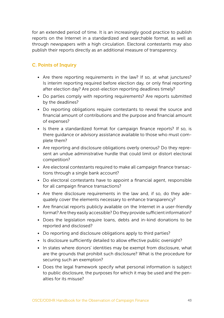for an extended period of time. It is an increasingly good practice to publish reports on the Internet in a standardized and searchable format, as well as through newspapers with a high circulation. Electoral contestants may also publish their reports directly as an additional measure of transparency.

# C. Points of Inquiry

- Are there reporting requirements in the law? If so, at what junctures? Is interim reporting required before election day, or only final reporting after election day? Are post-election reporting deadlines timely?
- Do parties comply with reporting requirements? Are reports submitted by the deadlines?
- Do reporting obligations require contestants to reveal the source and financial amount of contributions and the purpose and financial amount of expenses?
- Is there a standardized format for campaign finance reports? If so, is there guidance or advisory assistance available to those who must complete them?
- Are reporting and disclosure obligations overly onerous? Do they represent an undue administrative hurdle that could limit or distort electoral competition?
- Are electoral contestants required to make all campaign finance transactions through a single bank account?
- Do electoral contestants have to appoint a financial agent, responsible for all campaign finance transactions?
- Are there disclosure requirements in the law and, if so, do they adequately cover the elements necessary to enhance transparency?
- Are financial reports publicly available on the Internet in a user-friendly format? Are they easily accessible? Do they provide sufficient information?
- Does the legislation require loans, debts and in-kind donations to be reported and disclosed?
- Do reporting and disclosure obligations apply to third parties?
- Is disclosure sufficiently detailed to allow effective public oversight?
- In states where donors' identities may be exempt from disclosure, what are the grounds that prohibit such disclosure? What is the procedure for securing such an exemption?
- Does the legal framework specify what personal information is subject to public disclosure, the purposes for which it may be used and the penalties for its misuse?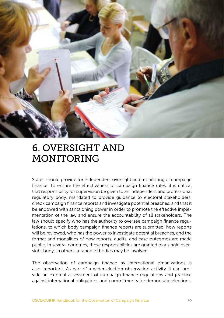

# 6. OVERSIGHT AND MONITORING

States should provide for independent oversight and monitoring of campaign finance. To ensure the effectiveness of campaign finance rules, it is critical that responsibility for supervision be given to an independent and professional regulatory body, mandated to provide guidance to electoral stakeholders, check campaign finance reports and investigate potential breaches, and that it be endowed with sanctioning power in order to promote the effective implementation of the law and ensure the accountability of all stakeholders. The law should specify who has the authority to oversee campaign finance regulations, to which body campaign finance reports are submitted, how reports will be reviewed, who has the power to investigate potential breaches, and the format and modalities of how reports, audits, and case outcomes are made public. In several countries, these responsibilities are granted to a single oversight body; in others, a range of bodies may be involved.

The observation of campaign finance by international organizations is also important. As part of a wider election observation activity, it can provide an external assessment of campaign finance regulations and practice against international obligations and commitments for democratic elections.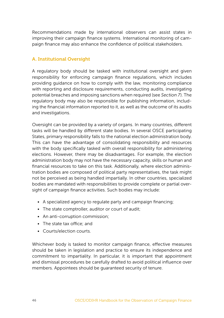Recommendations made by international observers can assist states in improving their campaign finance systems. International monitoring of campaign finance may also enhance the confidence of political stakeholders.

#### A. Institutional Oversight

A regulatory body should be tasked with institutional oversight and given responsibility for enforcing campaign finance regulations, which includes providing guidance on how to comply with the law, monitoring compliance with reporting and disclosure requirements, conducting audits, investigating potential breaches and imposing sanctions when required (see *Section 7*). The regulatory body may also be responsible for publishing information, including the financial information reported to it, as well as the outcome of its audits and investigations.

Oversight can be provided by a variety of organs. In many countries, different tasks will be handled by different state bodies. In several OSCE participating States, primary responsibility falls to the national election administration body. This can have the advantage of consolidating responsibility and resources with the body specifically tasked with overall responsibility for administering elections. However, there may be disadvantages. For example, the election administration body may not have the necessary capacity, skills or human and financial resources to take on this task. Additionally, where election administration bodies are composed of political party representatives, the task might not be perceived as being handled impartially. In other countries, specialized bodies are mandated with responsibilities to provide complete or partial oversight of campaign finance activities. Such bodies may include:

- A specialized agency to regulate party and campaign financing;
- The state comptroller, auditor or court of audit;
- An anti-corruption commission;
- The state tax office; and
- Courts/election courts.

Whichever body is tasked to monitor campaign finance, effective measures should be taken in legislation and practice to ensure its independence and commitment to impartiality. In particular, it is important that appointment and dismissal procedures be carefully drafted to avoid political influence over members. Appointees should be guaranteed security of tenure.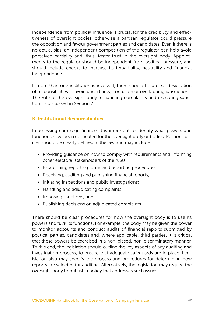Independence from political influence is crucial for the credibility and effectiveness of oversight bodies; otherwise a partisan regulator could pressure the opposition and favour government parties and candidates. Even if there is no actual bias, an independent composition of the regulator can help avoid perceived partiality and, thus. foster trust in the oversight body. Appointments to the regulator should be independent from political pressure, and should include checks to increase its impartiality, neutrality and financial independence.

If more than one institution is involved, there should be a clear designation of responsibilities to avoid uncertainty, confusion or overlapping jurisdictions. The role of the oversight body in handling complaints and executing sanctions is discussed in Section 7.

#### B. Institutional Responsibilities

In assessing campaign finance, it is important to identify what powers and functions have been delineated for the oversight body or bodies. Responsibilities should be clearly defined in the law and may include:

- Providing guidance on how to comply with requirements and informing other electoral stakeholders of the rules;
- Establishing reporting forms and reporting procedures;
- Receiving, auditing and publishing financial reports;
- Initiating inspections and public investigations;
- Handling and adjudicating complaints;
- Imposing sanctions; and
- Publishing decisions on adjudicated complaints.

There should be clear procedures for how the oversight body is to use its powers and fulfil its functions. For example, the body may be given the power to monitor accounts and conduct audits of financial reports submitted by political parties, candidates and, where applicable, third parties. It is critical that these powers be exercised in a non-biased, non-discriminatory manner. To this end, the legislation should outline the key aspects of any auditing and investigation process, to ensure that adequate safeguards are in place. Legislation also may specify the process and procedures for determining how reports are selected for auditing. Alternatively, the legislation may require the oversight body to publish a policy that addresses such issues.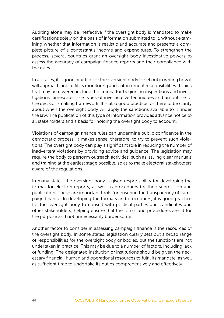Auditing alone may be ineffective if the oversight body is mandated to make certifications solely on the basis of information submitted to it, without examining whether that information is realistic and accurate and presents a complete picture of a contestant's income and expenditures. To strengthen the process, several countries grant an oversight body investigative powers to assess the accuracy of campaign finance reports and their compliance with the rules.

In all cases, it is good practice for the oversight body to set out in writing how it will approach and fulfil its monitoring and enforcement responsibilities. Topics that may be covered include the criteria for beginning inspections and investigations, timescales, the types of investigative techniques and an outline of the decision-making framework. It is also good practice for there to be clarity about when the oversight body will apply the sanctions available to it under the law. The publication of this type of information provides advance notice to all stakeholders and a basis for holding the oversight body to account.

Violations of campaign finance rules can undermine public confidence in the democratic process. It makes sense, therefore, to try to prevent such violations. The oversight body can play a significant role in reducing the number of inadvertent violations by providing advice and guidance. The legislation may require the body to perform outreach activities, such as issuing clear manuals and training at the earliest stage possible, so as to make electoral stakeholders aware of the regulations.

In many states, the oversight body is given responsibility for developing the format for election reports, as well as procedures for their submission and publication. These are important tools for ensuring the transparency of campaign finance. In developing the formats and procedures, it is good practice for the oversight body to consult with political parties and candidates and other stakeholders, helping ensure that the forms and procedures are fit for the purpose and not unnecessarily burdensome.

Another factor to consider in assessing campaign finance is the resources of the oversight body. In some states, legislation clearly sets out a broad range of responsibilities for the oversight body or bodies, but the functions are not undertaken in practice. This may be due to a number of factors, including lack of funding. The designated institution or institutions should be given the necessary financial, human and operational resources to fulfil its mandate, as well as sufficient time to undertake its duties comprehensively and effectively.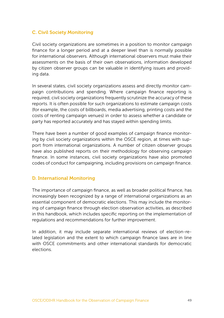## C. Civil Society Monitoring

Civil society organizations are sometimes in a position to monitor campaign finance for a longer period and at a deeper level than is normally possible for international observers. Although international observers must make their assessments on the basis of their own observations, information developed by citizen observer groups can be valuable in identifying issues and providing data.

In several states, civil society organizations assess and directly monitor campaign contributions and spending. Where campaign finance reporting is required, civil society organizations frequently scrutinize the accuracy of these reports. It is often possible for such organizations to estimate campaign costs (for example, the costs of billboards, media advertising, printing costs and the costs of renting campaign venues) in order to assess whether a candidate or party has reported accurately and has stayed within spending limits.

There have been a number of good examples of campaign finance monitoring by civil society organizations within the OSCE region, at times with support from international organizations. A number of citizen observer groups have also published reports on their methodology for observing campaign finance. In some instances, civil society organizations have also promoted codes of conduct for campaigning, including provisions on campaign finance.

#### D. International Monitoring

The importance of campaign finance, as well as broader political finance, has increasingly been recognized by a range of international organizations as an essential component of democratic elections. This may include the monitoring of campaign finance through election observation activities, as described in this handbook, which includes specific reporting on the implementation of regulations and recommendations for further improvement.

In addition, it may include separate international reviews of election-related legislation and the extent to which campaign finance laws are in line with OSCE commitments and other international standards for democratic elections.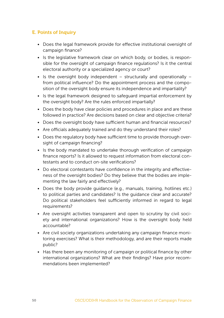# E. Points of Inquiry

- Does the legal framework provide for effective institutional oversight of campaign finance?
- Is the legislative framework clear on which body, or bodies, is responsible for the oversight of campaign finance regulations? Is it the central electoral authority or a specialized agency or court?
- Is the oversight body independent  $-$  structurally and operationally  $$ from political influence? Do the appointment process and the composition of the oversight body ensure its independence and impartiality?
- Is the legal framework designed to safeguard impartial enforcement by the oversight body? Are the rules enforced impartially?
- Does the body have clear policies and procedures in place and are these followed in practice? Are decisions based on clear and objective criteria?
- Does the oversight body have sufficient human and financial resources?
- Are officials adequately trained and do they understand their roles?
- Does the regulatory body have sufficient time to provide thorough oversight of campaign financing?
- Is the body mandated to undertake thorough verification of campaign finance reports? Is it allowed to request information from electoral contestants and to conduct on-site verifications?
- Do electoral contestants have confidence in the integrity and effectiveness of the oversight bodies? Do they believe that the bodies are implementing the law fairly and effectively?
- Does the body provide guidance (e.g., manuals, training, hotlines etc.) to political parties and candidates? Is the guidance clear and accurate? Do political stakeholders feel sufficiently informed in regard to legal requirements?
- Are oversight activities transparent and open to scrutiny by civil society and international organizations? How is the oversight body held accountable?
- Are civil society organizations undertaking any campaign finance monitoring exercises? What is their methodology, and are their reports made public?
- Has there been any monitoring of campaign or political finance by other international organizations? What are their findings? Have prior recommendations been implemented?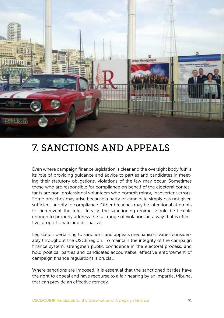

# 7. SANCTIONS AND APPEALS

Even where campaign finance legislation is clear and the oversight body fulfills its role of providing guidance and advice to parties and candidates in meeting their statutory obligations, violations of the law may occur. Sometimes those who are responsible for compliance on behalf of the electoral contestants are non-professional volunteers who commit minor, inadvertent errors. Some breaches may arise because a party or candidate simply has not given sufficient priority to compliance. Other breaches may be intentional attempts to circumvent the rules. Ideally, the sanctioning regime should be flexible enough to properly address the full range of violations in a way that is effective, proportionate and dissuasive.

Legislation pertaining to sanctions and appeals mechanisms varies considerably throughout the OSCE region. To maintain the integrity of the campaign finance system, strengthen public confidence in the electoral process, and hold political parties and candidates accountable, effective enforcement of campaign finance regulations is crucial.

Where sanctions are imposed, it is essential that the sanctioned parties have the right to appeal and have recourse to a fair hearing by an impartial tribunal that can provide an effective remedy.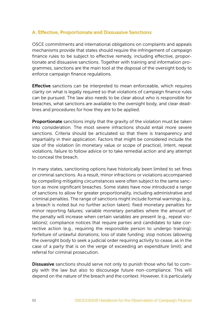### A. Effective, Proportionate and Dissuasive Sanctions

OSCE commitments and international obligations on complaints and appeals mechanisms provide that states should require the infringement of campaign finance rules to be subject to effective remedy, including effective, proportionate and dissuasive sanctions. Together with training and information programmes, sanctions are the main tool at the disposal of the oversight body to enforce campaign finance regulations.

**Effective** sanctions can be interpreted to mean enforceable, which requires clarity on what is legally required so that violations of campaign finance rules can be pursued. The law also needs to be clear about who is responsible for breaches, what sanctions are available to the oversight body, and clear deadlines and procedures for how they are to be applied.

**Proportionate** sanctions imply that the gravity of the violation must be taken into consideration. The most severe infractions should entail more severe sanctions. Criteria should be articulated so that there is transparency and impartiality in their application. Factors that might be considered include the size of the violation (in monetary value or scope of practice), intent, repeat violations, failure to follow advice or to take remedial action and any attempt to conceal the breach.

In many states, sanctioning options have historically been limited to set fines or criminal sanctions. As a result, minor infractions or violations accompanied by compelling mitigating circumstances were often subject to the same sanction as more significant breaches. Some states have now introduced a range of sanctions to allow for greater proportionality, including administrative and criminal penalties. The range of sanctions might include formal warnings (e.g., a breach is noted but no further action taken); fixed monetary penalties for minor reporting failures; variable monetary penalties where the amount of the penalty will increase when certain variables are present (e.g., repeat violations); compliance notices that require parties and candidates to take corrective action (e.g., requiring the responsible person to undergo training); forfeiture of unlawful donations; loss of state funding; stop notices (allowing the oversight body to seek a judicial order requiring activity to cease, as in the case of a party that is on the verge of exceeding an expenditure limit); and referral for criminal prosecution.

Dissuasive sanctions should serve not only to punish those who fail to comply with the law but also to discourage future non-compliance. This will depend on the nature of the breach and the context. However, it is particularly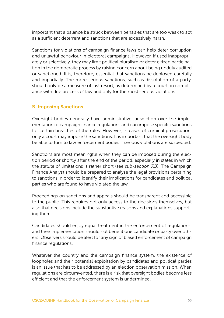important that a balance be struck between penalties that are too weak to act as a sufficient deterrent and sanctions that are excessively harsh.

Sanctions for violations of campaign finance laws can help deter corruption and unlawful behaviour in electoral campaigns. However, if used inappropriately or selectively, they may limit political pluralism or deter citizen participation in the democratic process by raising concern about being unduly audited or sanctioned. It is, therefore, essential that sanctions be deployed carefully and impartially. The more serious sanctions, such as dissolution of a party, should only be a measure of last resort, as determined by a court, in compliance with due process of law and only for the most serious violations.

#### B. Imposing Sanctions

Oversight bodies generally have administrative jurisdiction over the implementation of campaign finance regulations and can impose specific sanctions for certain breaches of the rules. However, in cases of criminal prosecution, only a court may impose the sanctions. It is important that the oversight body be able to turn to law enforcement bodies if serious violations are suspected.

Sanctions are most meaningful when they can be imposed during the election period or shortly after the end of the period, especially in states in which the statute of limitations is rather short (see *sub-section 7.B*). The Campaign Finance Analyst should be prepared to analyse the legal provisions pertaining to sanctions in order to identify their implications for candidates and political parties who are found to have violated the law.

Proceedings on sanctions and appeals should be transparent and accessible to the public. This requires not only access to the decisions themselves, but also that decisions include the substantive reasons and explanations supporting them.

Candidates should enjoy equal treatment in the enforcement of regulations, and their implementation should not benefit one candidate or party over others. Observers should be alert for any sign of biased enforcement of campaign finance regulations.

Whatever the country and the campaign finance system, the existence of loopholes and their potential exploitation by candidates and political parties is an issue that has to be addressed by an election observation mission. When regulations are circumvented, there is a risk that oversight bodies become less efficient and that the enforcement system is undermined.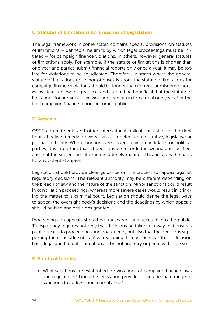### C. Statutes of Limitations for Breaches of Legislation

The legal framework in some states contains special provisions on statutes of limitations – defined time limits by which legal proceedings must be initiated – for campaign finance violations. In others, however, general statutes of limitations apply. For example, if the statute of limitations is shorter than one year and parties submit financial reports only once a year, it may be too late for violations to be adjudicated. Therefore, in states where the general statute of limitations for minor offenses is short, the statute of limitations for campaign finance violations should be longer than for regular misdemeanors. Many states follow this practice, and it could be beneficial that the statute of limitations for administrative violations remain in force until one year after the final campaign finance report becomes public.

### D. Appeals

OSCE commitments and other international obligations establish the right to an effective remedy provided by a competent administrative, legislative or judicial authority. When sanctions are issued against candidates or political parties, it is important that all decisions be recorded in writing and justified, and that the subject be informed in a timely manner. This provides the basis for any potential appeal.

Legislation should provide clear guidance on the process for appeal against regulatory decisions. The relevant authority may be different depending on the breach of law and the nature of the sanction. Minor sanctions could result in conciliation proceedings, whereas more severe cases would result in bringing the matter to a criminal court. Legislation should define the legal ways to appeal the oversight body's decisions and the deadlines by which appeals should be filed and decisions granted.

Proceedings on appeals should be transparent and accessible to the public. Transparency requires not only that decisions be taken in a way that ensures public access to proceedings and documents, but also that the decisions supporting them include substantive reasoning. It must be clear that a decision has a legal and factual foundation and is not arbitrary or perceived to be so.

#### E. Points of Inquiry

• What sanctions are established for violations of campaign finance laws and regulations? Does the legislation provide for an adequate range of sanctions to address non-compliance?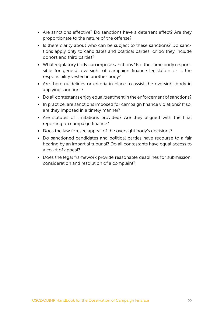- Are sanctions effective? Do sanctions have a deterrent effect? Are they proportionate to the nature of the offense?
- Is there clarity about who can be subject to these sanctions? Do sanctions apply only to candidates and political parties, or do they include donors and third parties?
- What regulatory body can impose sanctions? Is it the same body responsible for general oversight of campaign finance legislation or is the responsibility vested in another body?
- Are there guidelines or criteria in place to assist the oversight body in applying sanctions?
- Do all contestants enjoy equal treatment in the enforcement of sanctions?
- In practice, are sanctions imposed for campaign finance violations? If so, are they imposed in a timely manner?
- Are statutes of limitations provided? Are they aligned with the final reporting on campaign finance?
- Does the law foresee appeal of the oversight body's decisions?
- Do sanctioned candidates and political parties have recourse to a fair hearing by an impartial tribunal? Do all contestants have equal access to a court of appeal?
- Does the legal framework provide reasonable deadlines for submission, consideration and resolution of a complaint?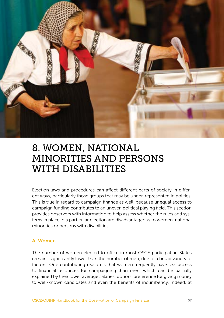

# 8. WOMEN, NATIONAL MINORITIES AND PERSONS WITH DISABILITIES

Election laws and procedures can affect different parts of society in different ways, particularly those groups that may be under-represented in politics. This is true in regard to campaign finance as well, because unequal access to campaign funding contributes to an uneven political playing field. This section provides observers with information to help assess whether the rules and systems in place in a particular election are disadvantageous to women, national minorities or persons with disabilities.

#### A. Women

The number of women elected to office in most OSCE participating States remains significantly lower than the number of men, due to a broad variety of factors. One contributing reason is that women frequently have less access to financial resources for campaigning than men, which can be partially explained by their lower average salaries, donors' preference for giving money to well-known candidates and even the benefits of incumbency. Indeed, at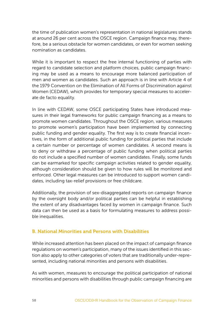the time of publication women's representation in national legislatures stands at around 26 per cent across the OSCE region. Campaign finance may, therefore, be a serious obstacle for women candidates, or even for women seeking nomination as candidates.

While it is important to respect the free internal functioning of parties with regard to candidate selection and platform choices, public campaign financing may be used as a means to encourage more balanced participation of men and women as candidates. Such an approach is in line with Article 4 of the 1979 Convention on the Elimination of All Forms of Discrimination against Women (CEDAW), which provides for temporary special measures to accelerate de facto equality.

In line with CEDAW, some OSCE participating States have introduced measures in their legal frameworks for public campaign financing as a means to promote women candidates. Throughout the OSCE region, various measures to promote women's participation have been implemented by connecting public funding and gender equality. The first way is to create financial incentives, in the form of additional public funding for political parties that include a certain number or percentage of women candidates. A second means is to deny or withdraw a percentage of public funding when political parties do not include a specified number of women candidates. Finally, some funds can be earmarked for specific campaign activities related to gender equality, although consideration should be given to how rules will be monitored and enforced. Other legal measures can be introduced to support women candidates, including tax-relief provisions or free childcare.

Additionally, the provision of sex-disaggregated reports on campaign finance by the oversight body and/or political parties can be helpful in establishing the extent of any disadvantages faced by women in campaign finance. Such data can then be used as a basis for formulating measures to address possible inequalities.

#### B. National Minorities and Persons with Disabilities

While increased attention has been placed on the impact of campaign finance regulations on women's participation, many of the issues identified in this section also apply to other categories of voters that are traditionally under-represented, including national minorities and persons with disabilities.

As with women, measures to encourage the political participation of national minorities and persons with disabilities through public campaign financing are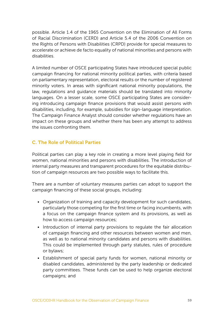possible. Article 1.4 of the 1965 Convention on the Elimination of All Forms of Racial Discrimination (CERD) and Article 5.4 of the 2006 Convention on the Rights of Persons with Disabilities (CRPD) provide for special measures to accelerate or achieve de facto equality of national minorities and persons with disabilities.

A limited number of OSCE participating States have introduced special public campaign financing for national minority political parties, with criteria based on parliamentary representation, electoral results or the number of registered minority voters. In areas with significant national minority populations, the law, regulations and guidance materials should be translated into minority languages. On a lesser scale, some OSCE participating States are considering introducing campaign finance provisions that would assist persons with disabilities, including, for example, subsidies for sign-language interpretation. The Campaign Finance Analyst should consider whether regulations have an impact on these groups and whether there has been any attempt to address the issues confronting them.

## C. The Role of Political Parties

Political parties can play a key role in creating a more level playing field for women, national minorities and persons with disabilities. The introduction of internal party measures and transparent procedures for the equitable distribution of campaign resources are two possible ways to facilitate this.

There are a number of voluntary measures parties can adopt to support the campaign financing of these social groups, including:

- Organization of training and capacity development for such candidates, particularly those competing for the first time or facing incumbents, with a focus on the campaign finance system and its provisions, as well as how to access campaign resources;
- Introduction of internal party provisions to regulate the fair allocation of campaign financing and other resources between women and men, as well as to national minority candidates and persons with disabilities. This could be implemented through party statutes, rules of procedure or bylaws;
- Establishment of special party funds for women, national minority or disabled candidates, administered by the party leadership or dedicated party committees. These funds can be used to help organize electoral campaigns; and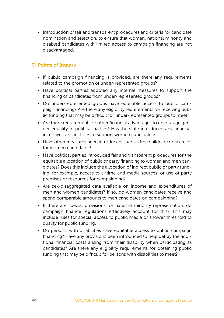• Introduction of fair and transparent procedures and criteria for candidate nomination and selection, to ensure that women, national minority and disabled candidates with limited access to campaign financing are not disadvantaged.

## D. Points of Inquiry

- If public campaign financing is provided, are there any requirements related to the promotion of under-represented groups?
- Have political parties adopted any internal measures to support the financing of candidates from under-represented groups?
- Do under-represented groups have equitable access to public campaign financing? Are there any eligibility requirements for receiving public funding that may be difficult for under-represented groups to meet?
- Are there requirements or other financial advantages to encourage gender equality in political parties? Has the state introduced any financial incentives or sanctions to support women candidates?
- Have other measures been introduced, such as free childcare or tax relief for women candidates?
- Have political parties introduced fair and transparent procedures for the equitable allocation of public or party financing to women and men candidates? Does this include the allocation of indirect public or party funding, for example, access to airtime and media sources, or use of party premises or resources for campaigning?
- Are sex-disaggregated data available on income and expenditures of men and women candidates? If so, do women candidates receive and spend comparable amounts to men candidates on campaigning?
- If there are special provisions for national minority representation, do campaign finance regulations effectively account for this? This may include rules for special access to public media or a lower threshold to qualify for public funding.
- Do persons with disabilities have equitable access to public campaign financing? Have any provisions been introduced to help defray the additional financial costs arising from their disability when participating as candidates? Are there any eligibility requirements for obtaining public funding that may be difficult for persons with disabilities to meet?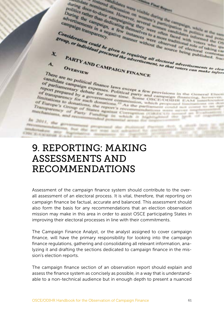during door-to-door station on this during the comparison in white at the property of the comparison on the they were campaign transparency.<br>It is rather than dedicating the overall women campaign while at the uniquenter o during door-to-door station on while during the companies were the published. Such<br>that the contractions of the campaign companies in the sense of the companies of the companies in a fact the sense of the companies in a se politics door-to-door However, which during the control of the campaign change and the strengthening the campaign in a negative manner without the served or electoral campaign of individual procured the advertisement.<br>PART During rather than demphasizes to a more tradition in white and the comparison can be compared to a manner without the source being published. Such that the advertisement, so that voternloads to the comparison of the compa advertisements in a new Consideration and the advertisement, so that voters can make information of the manner without the source being published. Such that the source of the published. Such that the advertisement, so that voters can make informa From the control of the source of the diversity of the control of the control of the control of the control of the control of the control of the control of the control of the control of the control of the control of the co x.  $\mathbf{A}$ There are no political finance laws except a few provisions in the General Ebert<br>For partiamentary debate for some except a few provisions in the General Ebert<br>framsparency debate for some eigen a few provisions in the Gen Candidate campaign expenses laws except a few provisions in the General Electromagnetic property debate for some time. Some a few provisions in the General Electromagnetic property of the formulations to domain a Bovernmen andidate campaign expenses. Political party and campaign the General Electrophyte prepared by a party some time Some provisions in the General Electrophyte prepared by a government commission, and campaign financing in the Parliamentary debate for some time. Some a few provisions in the Ciencral Election of transparency debate for some time. Some and campaign financing, however, it initiations to the such doments commission,  $\cos$ CECODITER EA Imitations to donations, the report of the Some based on the control of Europe's Group of States, the report of As the particular communication of Europe's Group of States of the report of the particular control of the par of Europe's donations, the report's recommission, which proposed instanting Transparency of States report's recommission. The partial proposed instanting the proposed of States and Party F Transparency of Party Funding Corresponding contains and the corresponding of the process contains and the corresponding contains of the corresponding contains of the corresponding of the corresponding of the corresponding mechanisms, and Party Possible dealers Correspondent contract on In 2011, the government protested several for trail<br>Processes and processes are proposed the Political Processes<br>Hideotaken and Processes are now many the manufacture of the PROGRAMMARING STATES SERVICES (FOR STATES) (For Professional States) (For Professional States)<br>Highlandsale and Professional States (For States) (For States) (For States)<br>PAR States/Landsale and Programmaring communication anadization are how the act was an<br>Oble it a straight are a series and the **ENN KIRSONNE ERS** 

# 9. REPORTING: MAKING ASSESSMENTS AND RECOMMENDATIONS

Assessment of the campaign finance system should contribute to the overall assessment of an electoral process. It is vital, therefore, that reporting on campaign finance be factual, accurate and balanced. This assessment should also form the basis for any recommendations that an election observation mission may make in this area in order to assist OSCE participating States in improving their electoral processes in line with their commitments.

The Campaign Finance Analyst, or the analyst assigned to cover campaign finance, will have the primary responsibility for looking into the campaign finance regulations, gathering and consolidating all relevant information, analyzing it and drafting the sections dedicated to campaign finance in the mission's election reports.

The campaign finance section of an observation report should explain and assess the finance system as concisely as possible, in a way that is understandable to a non-technical audience but in enough depth to present a nuanced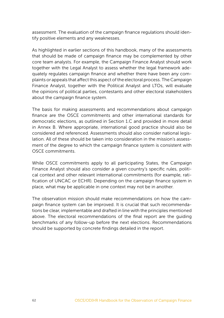assessment. The evaluation of the campaign finance regulations should identify positive elements and any weaknesses.

As highlighted in earlier sections of this handbook, many of the assessments that should be made of campaign finance may be complemented by other core team analysts. For example, the Campaign Finance Analyst should work together with the Legal Analyst to assess whether the legal framework adequately regulates campaign finance and whether there have been any complaints or appeals that affect this aspect of the electoral process. The Campaign Finance Analyst, together with the Political Analyst and LTOs, will evaluate the opinions of political parties, contestants and other electoral stakeholders about the campaign finance system.

The basis for making assessments and recommendations about campaign finance are the OSCE commitments and other international standards for democratic elections, as outlined in Section 1.C and provided in more detail in Annex B. Where appropriate, international good practice should also be considered and referenced. Assessments should also consider national legislation. All of these should be taken into consideration in the mission's assessment of the degree to which the campaign finance system is consistent with OSCE commitments.

While OSCE commitments apply to all participating States, the Campaign Finance Analyst should also consider a given country's specific rules, political context and other relevant international commitments (for example, ratification of UNCAC or ECHR). Depending on the campaign finance system in place, what may be applicable in one context may not be in another.

The observation mission should make recommendations on how the campaign finance system can be improved. It is crucial that such recommendations be clear, implementable and drafted in line with the principles mentioned above. The electoral recommendations of the final report are the guiding benchmarks of any follow-up before the next elections. Recommendations should be supported by concrete findings detailed in the report.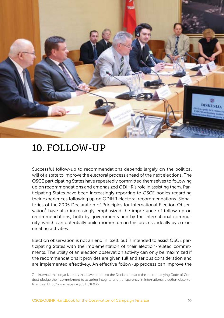

# 10. FOLLOW-UP

Successful follow-up to recommendations depends largely on the political will of a state to improve the electoral process ahead of the next elections. The OSCE participating States have repeatedly committed themselves to following up on recommendations and emphasized ODIHR's role in assisting them. Participating States have been increasingly reporting to OSCE bodies regarding their experiences following up on ODIHR electoral recommendations. Signatories of the 2005 Declaration of Principles for International Election Observation<sup>7</sup> have also increasingly emphasized the importance of follow-up on recommendations, both by governments and by the international community, which can potentially build momentum in this process, ideally by co-ordinating activities.

Election observation is not an end in itself, but is intended to assist OSCE participating States with the implementation of their election-related commitments. The utility of an election observation activity can only be maximized if the recommendations it provides are given full and serious consideration and are implemented effectively. An effective follow-up process can improve the

<sup>7</sup> International organizations that have endorsed the Declaration and the accompanying Code of Conduct pledge their commitment to assuring integrity and transparency in international election observation. See: [http://www.osce.org/odihr/16935.](http://www.osce.org/odihr/16935)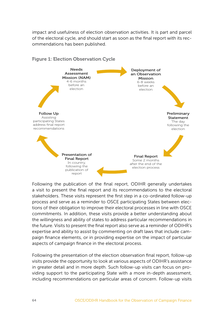impact and usefulness of election observation activities. It is part and parcel of the electoral cycle, and should start as soon as the final report with its recommendations has been published.



Following the publication of the final report, ODIHR generally undertakes a visit to present the final report and its recommendations to the electoral stakeholders. These visits represent the first step in a co-ordinated follow-up process and serve as a reminder to OSCE participating States between elections of their obligation to improve their electoral processes in line with OSCE commitments. In addition, these visits provide a better understanding about the willingness and ability of states to address particular recommendations in the future. Visits to present the final report also serve as a reminder of ODIHR's expertise and ability to assist by commenting on draft laws that include campaign finance elements, or in providing expertise on the impact of particular aspects of campaign finance in the electoral process.

Following the presentation of the election observation final report, follow-up visits provide the opportunity to look at various aspects of ODIHR's assistance in greater detail and in more depth. Such follow-up visits can focus on providing support to the participating State with a more in-depth assessment, including recommendations on particular areas of concern. Follow-up visits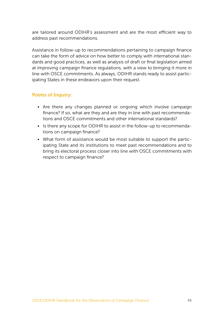are tailored around ODIHR's assessment and are the most efficient way to address past recommendations.

Assistance in follow-up to recommendations pertaining to campaign finance can take the form of advice on how better to comply with international standards and good practices, as well as analysis of draft or final legislation aimed at improving campaign finance regulations, with a view to bringing it more in line with OSCE commitments. As always, ODIHR stands ready to assist participating States in these endeavors upon their request.

### Points of Inquiry:

- Are there any changes planned or ongoing which involve campaign finance? If so, what are they and are they in line with past recommendations and OSCE commitments and other international standards?
- Is there any scope for ODIHR to assist in the follow-up to recommendations on campaign finance?
- What form of assistance would be most suitable to support the participating State and its institutions to meet past recommendations and to bring its electoral process closer into line with OSCE commitments with respect to campaign finance?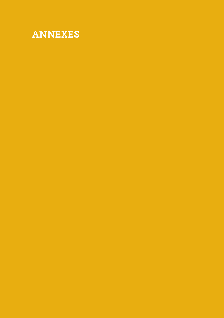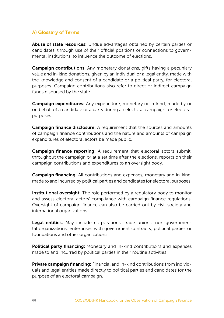# A) Glossary of Terms

Abuse of state resources: Undue advantages obtained by certain parties or candidates, through use of their official positions or connections to governmental institutions, to influence the outcome of elections.

Campaign contributions: Any monetary donations, gifts having a pecuniary value and in-kind donations, given by an individual or a legal entity, made with the knowledge and consent of a candidate or a political party, for electoral purposes. Campaign contributions also refer to direct or indirect campaign funds disbursed by the state.

Campaign expenditures: Any expenditure, monetary or in-kind, made by or on behalf of a candidate or a party during an electoral campaign for electoral purposes.

Campaign finance disclosure: A requirement that the sources and amounts of campaign finance contributions and the nature and amounts of campaign expenditures of electoral actors be made public.

Campaign finance reporting: A requirement that electoral actors submit, throughout the campaign or at a set time after the elections, reports on their campaign contributions and expenditures to an oversight body.

Campaign financing: All contributions and expenses, monetary and in-kind, made to and incurred by political parties and candidates for electoral purposes.

Institutional oversight: The role performed by a regulatory body to monitor and assess electoral actors' compliance with campaign finance regulations. Oversight of campaign finance can also be carried out by civil society and international organizations.

Legal entities: May include corporations, trade unions, non-governmental organizations, enterprises with government contracts, political parties or foundations and other organizations.

Political party financing: Monetary and in-kind contributions and expenses made to and incurred by political parties in their routine activities.

Private campaign financing: Financial and in-kind contributions from individuals and legal entities made directly to political parties and candidates for the purpose of an electoral campaign.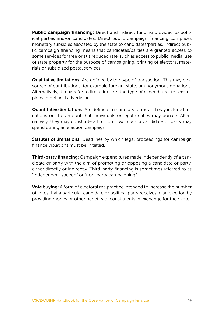Public campaign financing: Direct and indirect funding provided to political parties and/or candidates. Direct public campaign financing comprises monetary subsidies allocated by the state to candidates/parties. Indirect public campaign financing means that candidates/parties are granted access to some services for free or at a reduced rate, such as access to public media, use of state property for the purpose of campaigning, printing of electoral materials or subsidized postal services.

Qualitative limitations: Are defined by the type of transaction. This may be a source of contributions, for example foreign, state, or anonymous donations. Alternatively, it may refer to limitations on the type of expenditure, for example paid political advertising.

Quantitative limitations: Are defined in monetary terms and may include limitations on the amount that individuals or legal entities may donate. Alternatively, they may constitute a limit on how much a candidate or party may spend during an election campaign.

Statutes of limitations: Deadlines by which legal proceedings for campaign finance violations must be initiated.

Third-party financing: Campaign expenditures made independently of a candidate or party with the aim of promoting or opposing a candidate or party, either directly or indirectly. Third-party financing is sometimes referred to as "independent speech" or "non-party campaigning".

Vote buying: A form of electoral malpractice intended to increase the number of votes that a particular candidate or political party receives in an election by providing money or other benefits to constituents in exchange for their vote.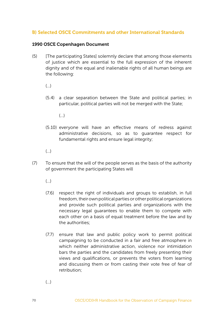## B) Selected OSCE Commitments and other International Standards

#### 1990 OSCE Copenhagen Document

(5) [The participating States] solemnly declare that among those elements of justice which are essential to the full expression of the inherent dignity and of the equal and inalienable rights of all human beings are the following:

(…)

- (5.4) a clear separation between the State and political parties; in particular, political parties will not be merged with the State;
	- $\left( \quad \right)$
- (5.10) everyone will have an effective means of redress against administrative decisions, so as to guarantee respect for fundamental rights and ensure legal integrity;
- $\left( \quad \right)$
- (7) To ensure that the will of the people serves as the basis of the authority of government the participating States will
	- (…)
	- (7.6) respect the right of individuals and groups to establish, in full freedom, their own political parties or other political organizations and provide such political parties and organizations with the necessary legal guarantees to enable them to compete with each other on a basis of equal treatment before the law and by the authorities;
	- (7.7) ensure that law and public policy work to permit political campaigning to be conducted in a fair and free atmosphere in which neither administrative action, violence nor intimidation bars the parties and the candidates from freely presenting their views and qualifications, or prevents the voters from learning and discussing them or from casting their vote free of fear of retribution;

 $\left( \ldots \right)$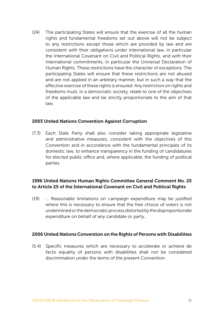(24) The participating States will ensure that the exercise of all the human rights and fundamental freedoms set out above will not be subject to any restrictions except those which are provided by law and are consistent with their obligations under international law, in particular the International Covenant on Civil and Political Rights, and with their international commitments, in particular the Universal Declaration of Human Rights. These restrictions have the character of exceptions. The participating States will ensure that these restrictions are not abused and are not applied in an arbitrary manner, but in such a way that the effective exercise of these rights is ensured. Any restriction on rights and freedoms must, in a democratic society, relate to one of the objectives of the applicable law and be strictly proportionate to the aim of that law.

#### 2003 United Nations Convention Against Corruption

(7.3) Each State Party shall also consider taking appropriate legislative and administrative measures, consistent with the objectives of this Convention and in accordance with the fundamental principles of its domestic law, to enhance transparency in the funding of candidatures for elected public office and, where applicable, the funding of political parties

#### 1996 United Nations Human Rights Committee General Comment No. 25 to Article 25 of the International Covenant on Civil and Political Rights

(19) … Reasonable limitations on campaign expenditure may be justified where this is necessary to ensure that the free choice of voters is not undermined or the democratic process distorted by the disproportionate expenditure on behalf of any candidate or party…

#### 2006 United Nations Convention on the Rights of Persons with Disabilities

(5.4) Specific measures which are necessary to accelerate or achieve de facto equality of persons with disabilities shall not be considered discrimination under the terms of the present Convention.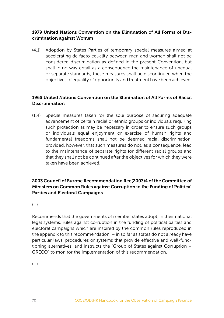### 1979 United Nations Convention on the Elimination of All Forms of Discrimination against Women

(4.1) Adoption by States Parties of temporary special measures aimed at accelerating de facto equality between men and women shall not be considered discrimination as defined in the present Convention, but shall in no way entail as a consequence the maintenance of unequal or separate standards; these measures shall be discontinued when the objectives of equality of opportunity and treatment have been achieved.

## 1965 United Nations Convention on the Elimination of All Forms of Racial Discrimination

(1.4) Special measures taken for the sole purpose of securing adequate advancement of certain racial or ethnic groups or individuals requiring such protection as may be necessary in order to ensure such groups or individuals equal enjoyment or exercise of human rights and fundamental freedoms shall not be deemed racial discrimination, provided, however, that such measures do not, as a consequence, lead to the maintenance of separate rights for different racial groups and that they shall not be continued after the objectives for which they were taken have been achieved.

### 2003 Council of Europe Recommendation Rec(2003)4 of the Committee of Ministers on Common Rules against Corruption in the Funding of Political Parties and Electoral Campaigns

# (…)

Recommends that the governments of member states adopt, in their national legal systems, rules against corruption in the funding of political parties and electoral campaigns which are inspired by the common rules reproduced in the appendix to this recommendation, – in so far as states do not already have particular laws, procedures or systems that provide effective and well-functioning alternatives, and instructs the "Group of States against Corruption – GRECO" to monitor the implementation of this recommendation.

 $($ )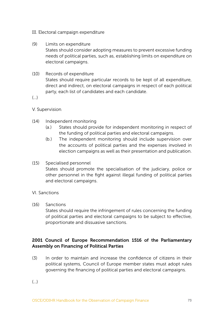- III. Electoral campaign expenditure
- (9) Limits on expenditure States should consider adopting measures to prevent excessive funding needs of political parties, such as, establishing limits on expenditure on electoral campaigns.
- (10) Records of expenditure

States should require particular records to be kept of all expenditure, direct and indirect, on electoral campaigns in respect of each political party, each list of candidates and each candidate.

(…)

- V. Supervision
- (14) Independent monitoring
	- (a.) States should provide for independent monitoring in respect of the funding of political parties and electoral campaigns.
	- (b.) The independent monitoring should include supervision over the accounts of political parties and the expenses involved in election campaigns as well as their presentation and publication.
- (15) Specialised personnel States should promote the specialisation of the judiciary, police or other personnel in the fight against illegal funding of political parties and electoral campaigns.
- VI. Sanctions
- (16) Sanctions

States should require the infringement of rules concerning the funding of political parties and electoral campaigns to be subject to effective, proportionate and dissuasive sanctions.

## 2001 Council of Europe Recommendation 1516 of the Parliamentary Assembly on Financing of Political Parties

(3) In order to maintain and increase the confidence of citizens in their political systems, Council of Europe member states must adopt rules governing the financing of political parties and electoral campaigns.

(…)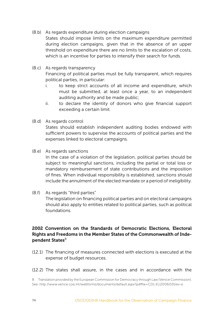(8.b) As regards expenditure during election campaigns

States should impose limits on the maximum expenditure permitted during election campaigns, given that in the absence of an upper threshold on expenditure there are no limits to the escalation of costs, which is an incentive for parties to intensify their search for funds.

(8.c) As regards transparency

Financing of political parties must be fully transparent, which requires political parties, in particular:

- i. to keep strict accounts of all income and expenditure, which must be submitted, at least once a year, to an independent auditing authority and be made public;
- ii. to declare the identity of donors who give financial support exceeding a certain limit.
- (8.d) As regards control

States should establish independent auditing bodies endowed with sufficient powers to supervise the accounts of political parties and the expenses linked to electoral campaigns.

(8.e) As regards sanctions

In the case of a violation of the legislation, political parties should be subject to meaningful sanctions, including the partial or total loss or mandatory reimbursement of state contributions and the imposition of fines. When individual responsibility is established, sanctions should include the annulment of the elected mandate or a period of ineligibility.

(8.f) As regards "third parties"

The legislation on financing political parties and on electoral campaigns should also apply to entities related to political parties, such as political foundations.

## 2002 Convention on the Standards of Democratic Elections, Electoral Rights and Freedoms in the Member States of the Commonwealth of Independent States $8$

- (12.1) The financing of measures connected with elections is executed at the expense of budget resources.
- (12.2) The states shall assure, in the cases and in accordance with the

<sup>8</sup> Translation provided by the European Commission for Democracy through Law (Venice Commission). See: [http://www.venice.coe.int/webforms/documents/default.aspx?pdffile=CDL-EL\(2006\)031rev-e.](http://www.venice.coe.int/webforms/documents/default.aspx?pdffile=CDL-EL(2006)031rev-e)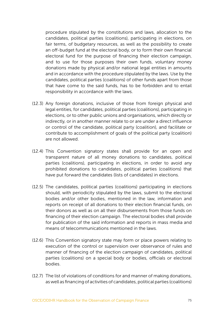procedure stipulated by the constitutions and laws, allocation to the candidates, political parties (coalitions), participating in elections, on fair terms, of budgetary resources, as well as the possibility to create an off-budget fund at the electoral body, or to form their own financial electoral fund for the purpose of financing their election campaign, and to use for those purposes their own funds, voluntary money donations made by physical and/or national legal entities in amounts and in accordance with the procedure stipulated by the laws. Use by the candidates, political parties (coalitions) of other funds apart from those that have come to the said funds, has to be forbidden and to entail responsibility in accordance with the laws.

- (12.3) Any foreign donations, inclusive of those from foreign physical and legal entities, for candidates, political parties (coalitions), participating in elections, or to other public unions and organisations, which directly or indirectly, or in another manner relate to or are under a direct influence or control of the candidate, political party (coalition), and facilitate or contribute to accomplishment of goals of the political party (coalition) are not allowed.
- (12.4) This Convention signatory states shall provide for an open and transparent nature of all money donations to candidates, political parties (coalitions), participating in elections, in order to avoid any prohibited donations to candidates, political parties (coalitions) that have put forward the candidates (lists of candidates) in elections.
- (12.5) The candidates, political parties (coalitions) participating in elections should, with periodicity stipulated by the laws, submit to the electoral bodies and/or other bodies, mentioned in the law, information and reports on receipt of all donations to their election financial funds, on their donors as well as on all their disbursements from those funds on financing of their election campaign. The electoral bodies shall provide for publication of the said information and reports in mass media and means of telecommunications mentioned in the laws.
- (12.6) This Convention signatory state may form or place powers relating to execution of the control or supervision over observance of rules and manner of financing of the election campaign of candidates, political parties (coalitions) on a special body or bodies, officials or electoral bodies.
- (12.7) The list of violations of conditions for and manner of making donations, as well as financing of activities of candidates, political parties (coalitions)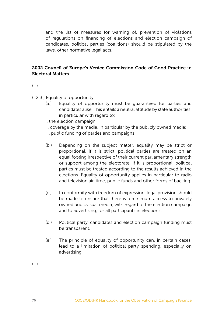and the list of measures for warning of, prevention of violations of regulations on financing of elections and election campaign of candidates, political parties (coalitions) should be stipulated by the laws, other normative legal acts.

## 2002 Council of Europe's Venice Commission Code of Good Practice in Electoral Matters

 $\left( \ldots \right)$ 

(I.2.3.) Equality of opportunity

- (a.) Equality of opportunity must be guaranteed for parties and candidates alike. This entails a neutral attitude by state authorities, in particular with regard to:
- i. the election campaign;
- ii. coverage by the media, in particular by the publicly owned media; iii. public funding of parties and campaigns.
- (b.) Depending on the subject matter, equality may be strict or proportional. If it is strict, political parties are treated on an equal footing irrespective of their current parliamentary strength or support among the electorate. If it is proportional, political parties must be treated according to the results achieved in the elections. Equality of opportunity applies in particular to radio and television air-time, public funds and other forms of backing.
- (c.) In conformity with freedom of expression, legal provision should be made to ensure that there is a minimum access to privately owned audiovisual media, with regard to the election campaign and to advertising, for all participants in elections.
- (d.) Political party, candidates and election campaign funding must be transparent.
- (e.) The principle of equality of opportunity can, in certain cases, lead to a limitation of political party spending, especially on advertising.

 $(\ldots)$